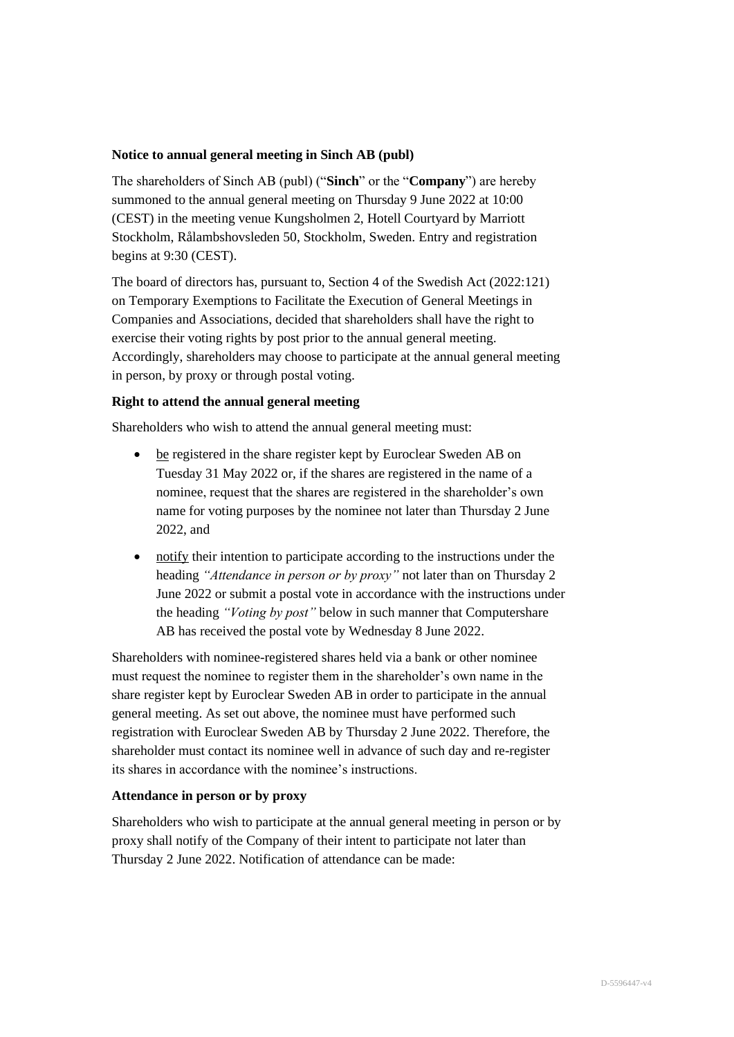# **Notice to annual general meeting in Sinch AB (publ)**

The shareholders of Sinch AB (publ) ("**Sinch**" or the "**Company**") are hereby summoned to the annual general meeting on Thursday 9 June 2022 at 10:00 (CEST) in the meeting venue Kungsholmen 2, Hotell Courtyard by Marriott Stockholm, Rålambshovsleden 50, Stockholm, Sweden. Entry and registration begins at 9:30 (CEST).

The board of directors has, pursuant to, Section 4 of the Swedish Act (2022:121) on Temporary Exemptions to Facilitate the Execution of General Meetings in Companies and Associations, decided that shareholders shall have the right to exercise their voting rights by post prior to the annual general meeting. Accordingly, shareholders may choose to participate at the annual general meeting in person, by proxy or through postal voting.

# **Right to attend the annual general meeting**

Shareholders who wish to attend the annual general meeting must:

- be registered in the share register kept by Euroclear Sweden AB on Tuesday 31 May 2022 or, if the shares are registered in the name of a nominee, request that the shares are registered in the shareholder's own name for voting purposes by the nominee not later than Thursday 2 June 2022, and
- notify their intention to participate according to the instructions under the heading *"Attendance in person or by proxy"* not later than on Thursday 2 June 2022 or submit a postal vote in accordance with the instructions under the heading *"Voting by post"* below in such manner that Computershare AB has received the postal vote by Wednesday 8 June 2022.

Shareholders with nominee-registered shares held via a bank or other nominee must request the nominee to register them in the shareholder's own name in the share register kept by Euroclear Sweden AB in order to participate in the annual general meeting. As set out above, the nominee must have performed such registration with Euroclear Sweden AB by Thursday 2 June 2022. Therefore, the shareholder must contact its nominee well in advance of such day and re-register its shares in accordance with the nominee's instructions.

# **Attendance in person or by proxy**

Shareholders who wish to participate at the annual general meeting in person or by proxy shall notify of the Company of their intent to participate not later than Thursday 2 June 2022. Notification of attendance can be made: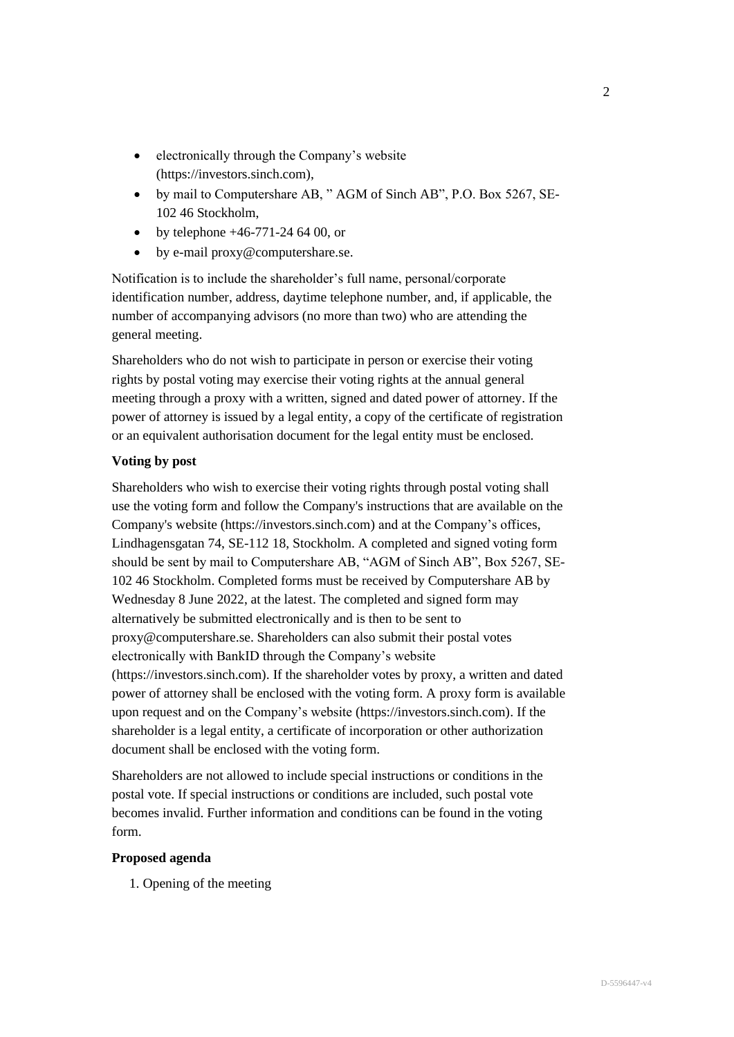- electronically through the Company's website (https://investors.sinch.com),
- by mail to Computershare AB, " AGM of Sinch AB", P.O. Box 5267, SE-102 46 Stockholm,
- by telephone  $+46-771-246400$ , or
- by e-mail proxy@computershare.se.

Notification is to include the shareholder's full name, personal/corporate identification number, address, daytime telephone number, and, if applicable, the number of accompanying advisors (no more than two) who are attending the general meeting.

Shareholders who do not wish to participate in person or exercise their voting rights by postal voting may exercise their voting rights at the annual general meeting through a proxy with a written, signed and dated power of attorney. If the power of attorney is issued by a legal entity, a copy of the certificate of registration or an equivalent authorisation document for the legal entity must be enclosed.

# **Voting by post**

Shareholders who wish to exercise their voting rights through postal voting shall use the voting form and follow the Company's instructions that are available on the Company's website (https://investors.sinch.com) and at the Company's offices, Lindhagensgatan 74, SE-112 18, Stockholm. A completed and signed voting form should be sent by mail to Computershare AB, "AGM of Sinch AB", Box 5267, SE-102 46 Stockholm. Completed forms must be received by Computershare AB by Wednesday 8 June 2022, at the latest. The completed and signed form may alternatively be submitted electronically and is then to be sent to proxy@computershare.se. Shareholders can also submit their postal votes electronically with BankID through the Company's website (https://investors.sinch.com). If the shareholder votes by proxy, a written and dated power of attorney shall be enclosed with the voting form. A proxy form is available upon request and on the Company's website (https://investors.sinch.com). If the shareholder is a legal entity, a certificate of incorporation or other authorization document shall be enclosed with the voting form.

Shareholders are not allowed to include special instructions or conditions in the postal vote. If special instructions or conditions are included, such postal vote becomes invalid. Further information and conditions can be found in the voting form.

# **Proposed agenda**

1. Opening of the meeting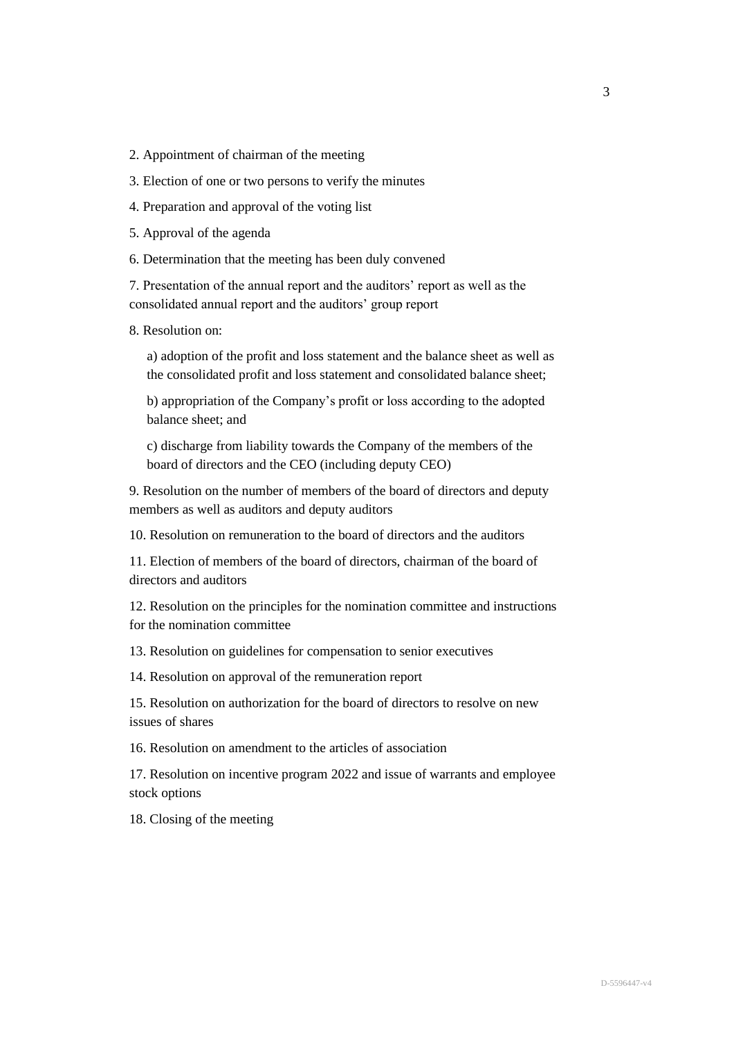2. Appointment of chairman of the meeting

3. Election of one or two persons to verify the minutes

4. Preparation and approval of the voting list

5. Approval of the agenda

6. Determination that the meeting has been duly convened

7. Presentation of the annual report and the auditors' report as well as the consolidated annual report and the auditors' group report

8. Resolution on:

a) adoption of the profit and loss statement and the balance sheet as well as the consolidated profit and loss statement and consolidated balance sheet;

b) appropriation of the Company's profit or loss according to the adopted balance sheet; and

c) discharge from liability towards the Company of the members of the board of directors and the CEO (including deputy CEO)

9. Resolution on the number of members of the board of directors and deputy members as well as auditors and deputy auditors

10. Resolution on remuneration to the board of directors and the auditors

11. Election of members of the board of directors, chairman of the board of directors and auditors

12. Resolution on the principles for the nomination committee and instructions for the nomination committee

13. Resolution on guidelines for compensation to senior executives

14. Resolution on approval of the remuneration report

15. Resolution on authorization for the board of directors to resolve on new issues of shares

16. Resolution on amendment to the articles of association

17. Resolution on incentive program 2022 and issue of warrants and employee stock options

18. Closing of the meeting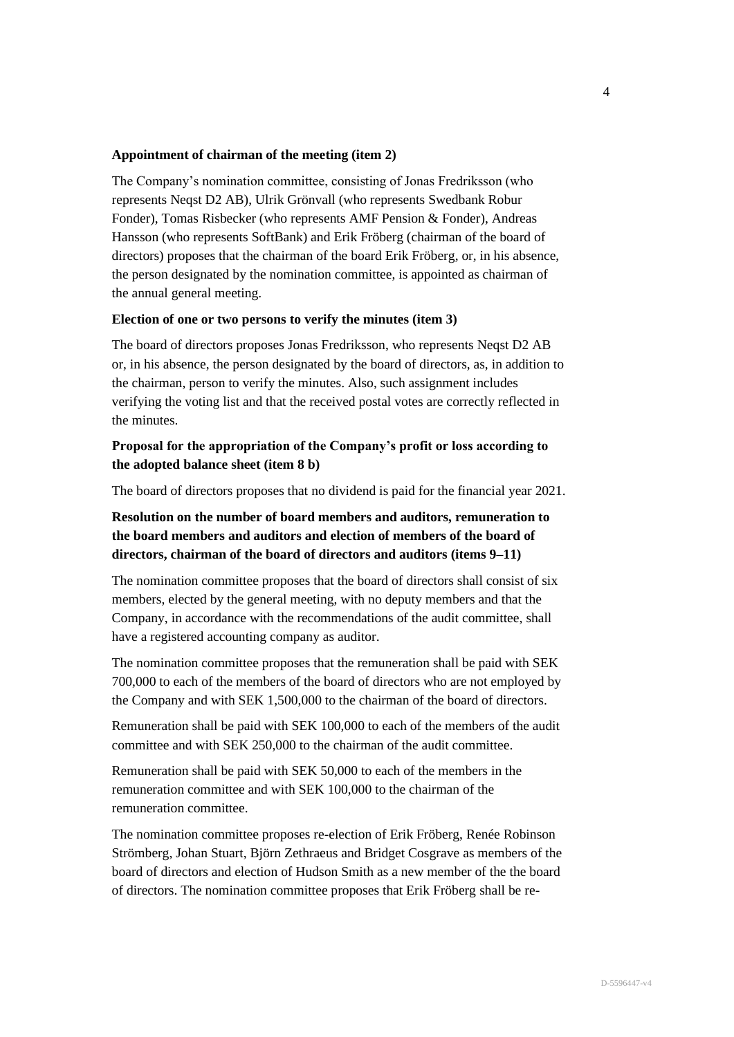### **Appointment of chairman of the meeting (item 2)**

The Company's nomination committee, consisting of Jonas Fredriksson (who represents Neqst D2 AB), Ulrik Grönvall (who represents Swedbank Robur Fonder), Tomas Risbecker (who represents AMF Pension & Fonder), Andreas Hansson (who represents SoftBank) and Erik Fröberg (chairman of the board of directors) proposes that the chairman of the board Erik Fröberg, or, in his absence, the person designated by the nomination committee, is appointed as chairman of the annual general meeting.

### **Election of one or two persons to verify the minutes (item 3)**

The board of directors proposes Jonas Fredriksson, who represents Neqst D2 AB or, in his absence, the person designated by the board of directors, as, in addition to the chairman, person to verify the minutes. Also, such assignment includes verifying the voting list and that the received postal votes are correctly reflected in the minutes.

# **Proposal for the appropriation of the Company's profit or loss according to the adopted balance sheet (item 8 b)**

The board of directors proposes that no dividend is paid for the financial year 2021.

# **Resolution on the number of board members and auditors, remuneration to the board members and auditors and election of members of the board of directors, chairman of the board of directors and auditors (items 9–11)**

The nomination committee proposes that the board of directors shall consist of six members, elected by the general meeting, with no deputy members and that the Company, in accordance with the recommendations of the audit committee, shall have a registered accounting company as auditor.

The nomination committee proposes that the remuneration shall be paid with SEK 700,000 to each of the members of the board of directors who are not employed by the Company and with SEK 1,500,000 to the chairman of the board of directors.

Remuneration shall be paid with SEK 100,000 to each of the members of the audit committee and with SEK 250,000 to the chairman of the audit committee.

Remuneration shall be paid with SEK 50,000 to each of the members in the remuneration committee and with SEK 100,000 to the chairman of the remuneration committee.

The nomination committee proposes re-election of Erik Fröberg, Renée Robinson Strömberg, Johan Stuart, Björn Zethraeus and Bridget Cosgrave as members of the board of directors and election of Hudson Smith as a new member of the the board of directors. The nomination committee proposes that Erik Fröberg shall be re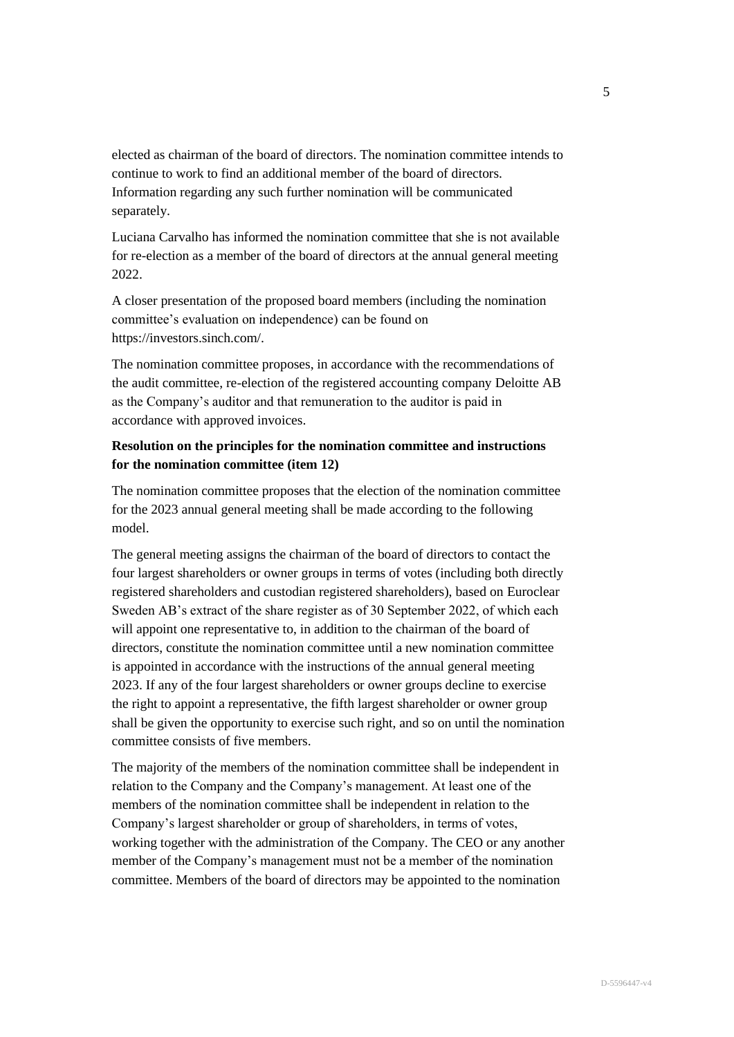elected as chairman of the board of directors. The nomination committee intends to continue to work to find an additional member of the board of directors. Information regarding any such further nomination will be communicated separately.

Luciana Carvalho has informed the nomination committee that she is not available for re-election as a member of the board of directors at the annual general meeting 2022.

A closer presentation of the proposed board members (including the nomination committee's evaluation on independence) can be found on https://investors.sinch.com/.

The nomination committee proposes, in accordance with the recommendations of the audit committee, re-election of the registered accounting company Deloitte AB as the Company's auditor and that remuneration to the auditor is paid in accordance with approved invoices.

# **Resolution on the principles for the nomination committee and instructions for the nomination committee (item 12)**

The nomination committee proposes that the election of the nomination committee for the 2023 annual general meeting shall be made according to the following model.

The general meeting assigns the chairman of the board of directors to contact the four largest shareholders or owner groups in terms of votes (including both directly registered shareholders and custodian registered shareholders), based on Euroclear Sweden AB's extract of the share register as of 30 September 2022, of which each will appoint one representative to, in addition to the chairman of the board of directors, constitute the nomination committee until a new nomination committee is appointed in accordance with the instructions of the annual general meeting 2023. If any of the four largest shareholders or owner groups decline to exercise the right to appoint a representative, the fifth largest shareholder or owner group shall be given the opportunity to exercise such right, and so on until the nomination committee consists of five members.

The majority of the members of the nomination committee shall be independent in relation to the Company and the Company's management. At least one of the members of the nomination committee shall be independent in relation to the Company's largest shareholder or group of shareholders, in terms of votes, working together with the administration of the Company. The CEO or any another member of the Company's management must not be a member of the nomination committee. Members of the board of directors may be appointed to the nomination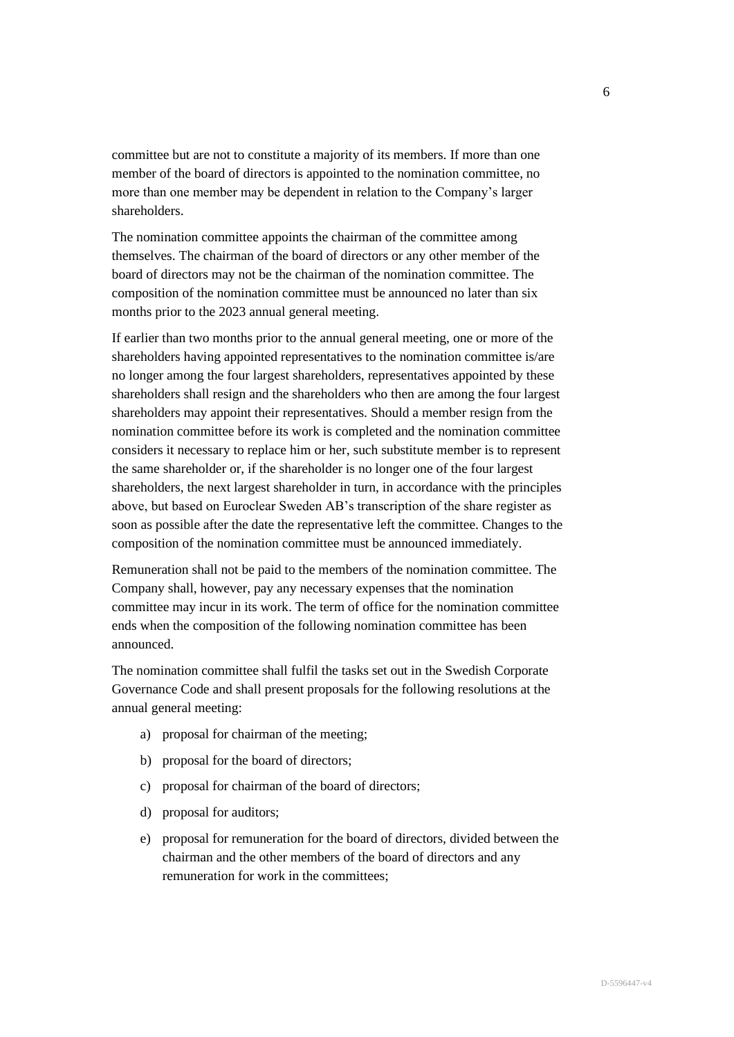committee but are not to constitute a majority of its members. If more than one member of the board of directors is appointed to the nomination committee, no more than one member may be dependent in relation to the Company's larger shareholders.

The nomination committee appoints the chairman of the committee among themselves. The chairman of the board of directors or any other member of the board of directors may not be the chairman of the nomination committee. The composition of the nomination committee must be announced no later than six months prior to the 2023 annual general meeting.

If earlier than two months prior to the annual general meeting, one or more of the shareholders having appointed representatives to the nomination committee is/are no longer among the four largest shareholders, representatives appointed by these shareholders shall resign and the shareholders who then are among the four largest shareholders may appoint their representatives. Should a member resign from the nomination committee before its work is completed and the nomination committee considers it necessary to replace him or her, such substitute member is to represent the same shareholder or, if the shareholder is no longer one of the four largest shareholders, the next largest shareholder in turn, in accordance with the principles above, but based on Euroclear Sweden AB's transcription of the share register as soon as possible after the date the representative left the committee. Changes to the composition of the nomination committee must be announced immediately.

Remuneration shall not be paid to the members of the nomination committee. The Company shall, however, pay any necessary expenses that the nomination committee may incur in its work. The term of office for the nomination committee ends when the composition of the following nomination committee has been announced.

The nomination committee shall fulfil the tasks set out in the Swedish Corporate Governance Code and shall present proposals for the following resolutions at the annual general meeting:

- a) proposal for chairman of the meeting;
- b) proposal for the board of directors;
- c) proposal for chairman of the board of directors;
- d) proposal for auditors;
- e) proposal for remuneration for the board of directors, divided between the chairman and the other members of the board of directors and any remuneration for work in the committees;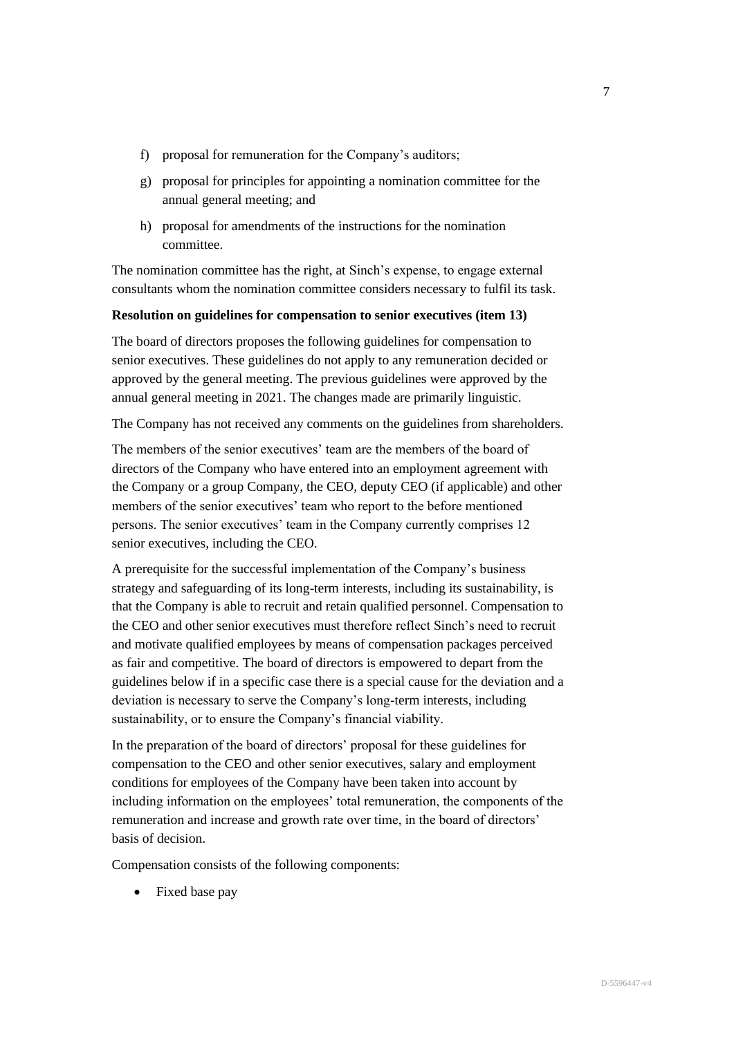- f) proposal for remuneration for the Company's auditors;
- g) proposal for principles for appointing a nomination committee for the annual general meeting; and
- h) proposal for amendments of the instructions for the nomination committee.

The nomination committee has the right, at Sinch's expense, to engage external consultants whom the nomination committee considers necessary to fulfil its task.

# **Resolution on guidelines for compensation to senior executives (item 13)**

The board of directors proposes the following guidelines for compensation to senior executives. These guidelines do not apply to any remuneration decided or approved by the general meeting. The previous guidelines were approved by the annual general meeting in 2021. The changes made are primarily linguistic.

The Company has not received any comments on the guidelines from shareholders.

The members of the senior executives' team are the members of the board of directors of the Company who have entered into an employment agreement with the Company or a group Company, the CEO, deputy CEO (if applicable) and other members of the senior executives' team who report to the before mentioned persons. The senior executives' team in the Company currently comprises 12 senior executives, including the CEO.

A prerequisite for the successful implementation of the Company's business strategy and safeguarding of its long-term interests, including its sustainability, is that the Company is able to recruit and retain qualified personnel. Compensation to the CEO and other senior executives must therefore reflect Sinch's need to recruit and motivate qualified employees by means of compensation packages perceived as fair and competitive. The board of directors is empowered to depart from the guidelines below if in a specific case there is a special cause for the deviation and a deviation is necessary to serve the Company's long-term interests, including sustainability, or to ensure the Company's financial viability.

In the preparation of the board of directors' proposal for these guidelines for compensation to the CEO and other senior executives, salary and employment conditions for employees of the Company have been taken into account by including information on the employees' total remuneration, the components of the remuneration and increase and growth rate over time, in the board of directors' basis of decision.

Compensation consists of the following components:

• Fixed base pay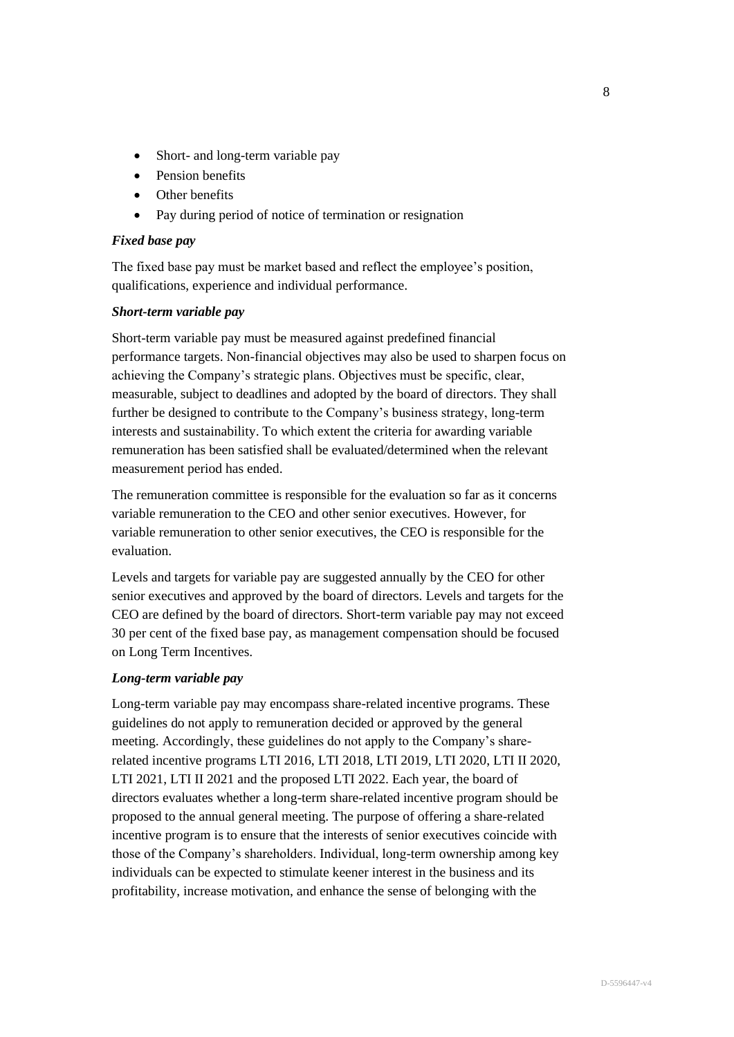- Short- and long-term variable pay
- Pension benefits
- Other benefits
- Pay during period of notice of termination or resignation

### *Fixed base pay*

The fixed base pay must be market based and reflect the employee's position, qualifications, experience and individual performance.

### *Short-term variable pay*

Short-term variable pay must be measured against predefined financial performance targets. Non-financial objectives may also be used to sharpen focus on achieving the Company's strategic plans. Objectives must be specific, clear, measurable, subject to deadlines and adopted by the board of directors. They shall further be designed to contribute to the Company's business strategy, long-term interests and sustainability. To which extent the criteria for awarding variable remuneration has been satisfied shall be evaluated/determined when the relevant measurement period has ended.

The remuneration committee is responsible for the evaluation so far as it concerns variable remuneration to the CEO and other senior executives. However, for variable remuneration to other senior executives, the CEO is responsible for the evaluation.

Levels and targets for variable pay are suggested annually by the CEO for other senior executives and approved by the board of directors. Levels and targets for the CEO are defined by the board of directors. Short-term variable pay may not exceed 30 per cent of the fixed base pay, as management compensation should be focused on Long Term Incentives.

#### *Long-term variable pay*

Long-term variable pay may encompass share-related incentive programs. These guidelines do not apply to remuneration decided or approved by the general meeting. Accordingly, these guidelines do not apply to the Company's sharerelated incentive programs LTI 2016, LTI 2018, LTI 2019, LTI 2020, LTI II 2020, LTI 2021, LTI II 2021 and the proposed LTI 2022. Each year, the board of directors evaluates whether a long-term share-related incentive program should be proposed to the annual general meeting. The purpose of offering a share-related incentive program is to ensure that the interests of senior executives coincide with those of the Company's shareholders. Individual, long-term ownership among key individuals can be expected to stimulate keener interest in the business and its profitability, increase motivation, and enhance the sense of belonging with the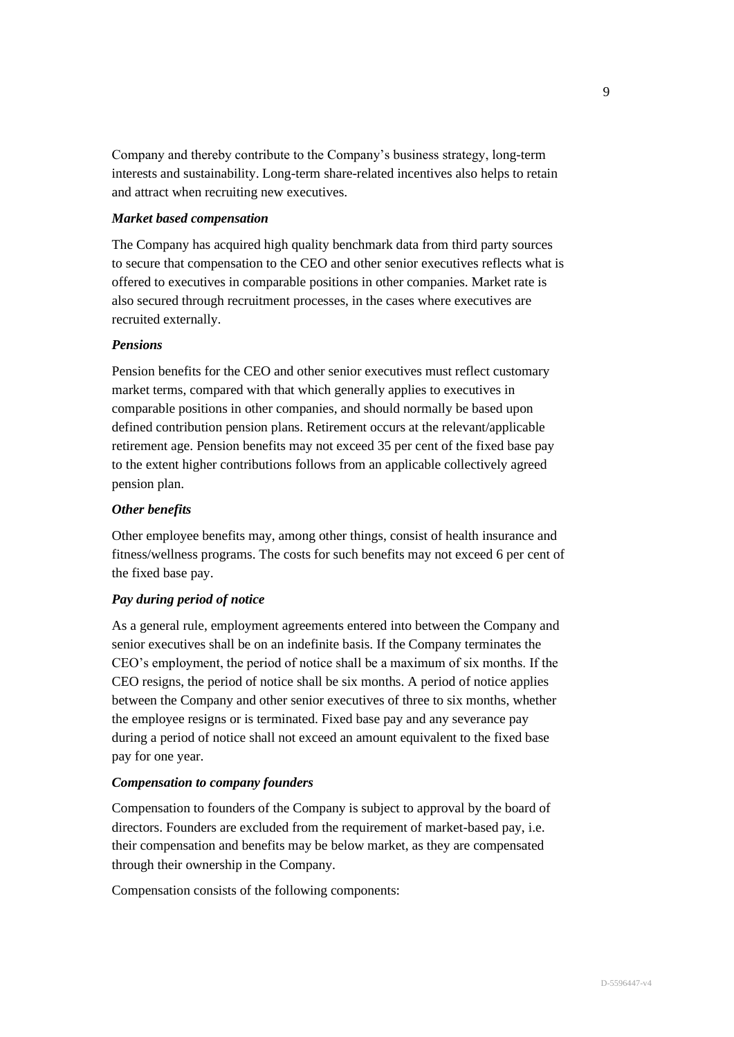Company and thereby contribute to the Company's business strategy, long-term interests and sustainability. Long-term share-related incentives also helps to retain and attract when recruiting new executives.

### *Market based compensation*

The Company has acquired high quality benchmark data from third party sources to secure that compensation to the CEO and other senior executives reflects what is offered to executives in comparable positions in other companies. Market rate is also secured through recruitment processes, in the cases where executives are recruited externally.

# *Pensions*

Pension benefits for the CEO and other senior executives must reflect customary market terms, compared with that which generally applies to executives in comparable positions in other companies, and should normally be based upon defined contribution pension plans. Retirement occurs at the relevant/applicable retirement age. Pension benefits may not exceed 35 per cent of the fixed base pay to the extent higher contributions follows from an applicable collectively agreed pension plan.

# *Other benefits*

Other employee benefits may, among other things, consist of health insurance and fitness/wellness programs. The costs for such benefits may not exceed 6 per cent of the fixed base pay.

# *Pay during period of notice*

As a general rule, employment agreements entered into between the Company and senior executives shall be on an indefinite basis. If the Company terminates the CEO's employment, the period of notice shall be a maximum of six months. If the CEO resigns, the period of notice shall be six months. A period of notice applies between the Company and other senior executives of three to six months, whether the employee resigns or is terminated. Fixed base pay and any severance pay during a period of notice shall not exceed an amount equivalent to the fixed base pay for one year.

#### *Compensation to company founders*

Compensation to founders of the Company is subject to approval by the board of directors. Founders are excluded from the requirement of market-based pay, i.e. their compensation and benefits may be below market, as they are compensated through their ownership in the Company.

Compensation consists of the following components: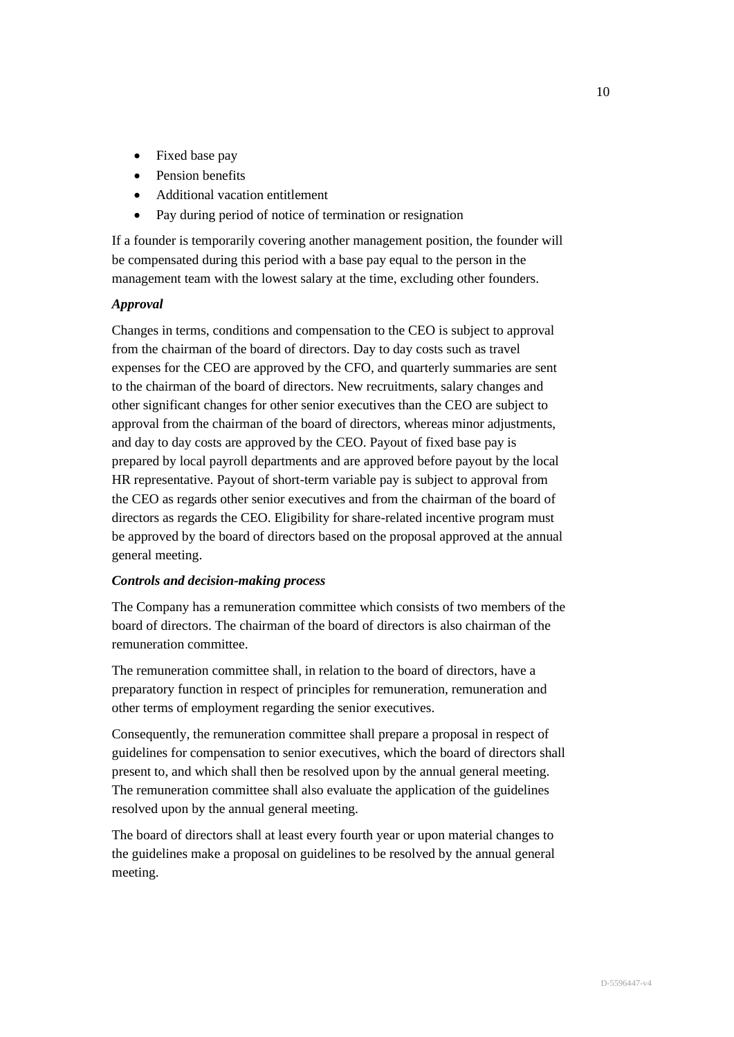- Fixed base pay
- Pension benefits
- Additional vacation entitlement
- Pay during period of notice of termination or resignation

If a founder is temporarily covering another management position, the founder will be compensated during this period with a base pay equal to the person in the management team with the lowest salary at the time, excluding other founders.

### *Approval*

Changes in terms, conditions and compensation to the CEO is subject to approval from the chairman of the board of directors. Day to day costs such as travel expenses for the CEO are approved by the CFO, and quarterly summaries are sent to the chairman of the board of directors. New recruitments, salary changes and other significant changes for other senior executives than the CEO are subject to approval from the chairman of the board of directors, whereas minor adjustments, and day to day costs are approved by the CEO. Payout of fixed base pay is prepared by local payroll departments and are approved before payout by the local HR representative. Payout of short-term variable pay is subject to approval from the CEO as regards other senior executives and from the chairman of the board of directors as regards the CEO. Eligibility for share-related incentive program must be approved by the board of directors based on the proposal approved at the annual general meeting.

### *Controls and decision-making process*

The Company has a remuneration committee which consists of two members of the board of directors. The chairman of the board of directors is also chairman of the remuneration committee.

The remuneration committee shall, in relation to the board of directors, have a preparatory function in respect of principles for remuneration, remuneration and other terms of employment regarding the senior executives.

Consequently, the remuneration committee shall prepare a proposal in respect of guidelines for compensation to senior executives, which the board of directors shall present to, and which shall then be resolved upon by the annual general meeting. The remuneration committee shall also evaluate the application of the guidelines resolved upon by the annual general meeting.

The board of directors shall at least every fourth year or upon material changes to the guidelines make a proposal on guidelines to be resolved by the annual general meeting.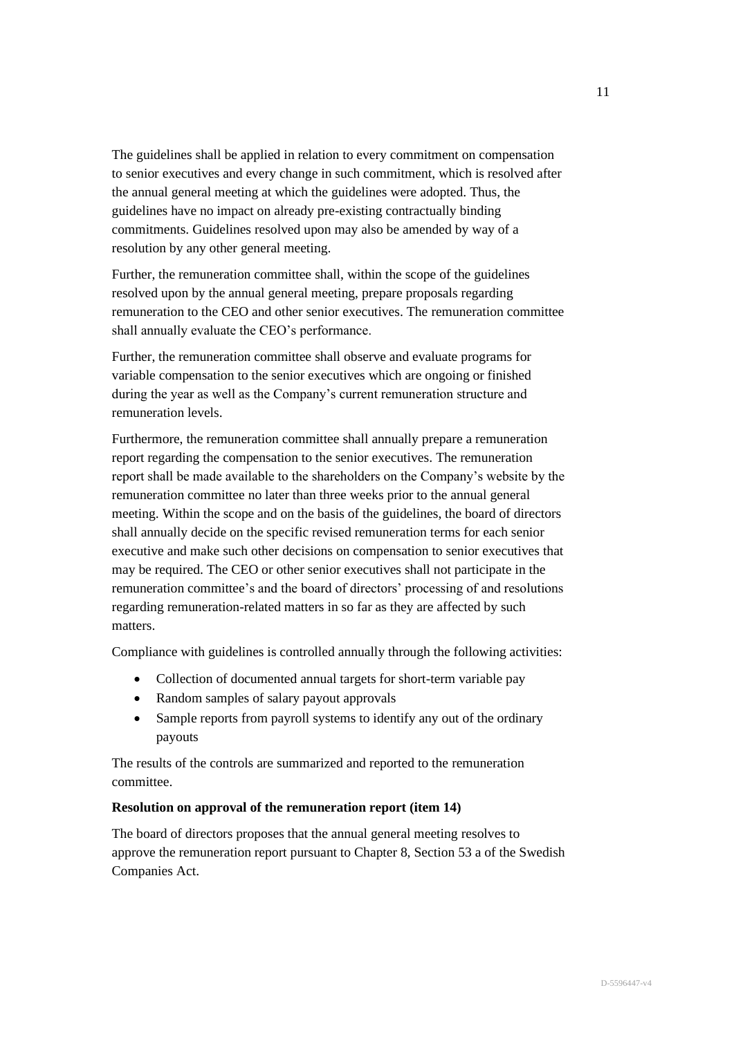The guidelines shall be applied in relation to every commitment on compensation to senior executives and every change in such commitment, which is resolved after the annual general meeting at which the guidelines were adopted. Thus, the guidelines have no impact on already pre-existing contractually binding commitments. Guidelines resolved upon may also be amended by way of a resolution by any other general meeting.

Further, the remuneration committee shall, within the scope of the guidelines resolved upon by the annual general meeting, prepare proposals regarding remuneration to the CEO and other senior executives. The remuneration committee shall annually evaluate the CEO's performance.

Further, the remuneration committee shall observe and evaluate programs for variable compensation to the senior executives which are ongoing or finished during the year as well as the Company's current remuneration structure and remuneration levels.

Furthermore, the remuneration committee shall annually prepare a remuneration report regarding the compensation to the senior executives. The remuneration report shall be made available to the shareholders on the Company's website by the remuneration committee no later than three weeks prior to the annual general meeting. Within the scope and on the basis of the guidelines, the board of directors shall annually decide on the specific revised remuneration terms for each senior executive and make such other decisions on compensation to senior executives that may be required. The CEO or other senior executives shall not participate in the remuneration committee's and the board of directors' processing of and resolutions regarding remuneration-related matters in so far as they are affected by such matters.

Compliance with guidelines is controlled annually through the following activities:

- Collection of documented annual targets for short-term variable pay
- Random samples of salary payout approvals
- Sample reports from payroll systems to identify any out of the ordinary payouts

The results of the controls are summarized and reported to the remuneration committee.

### **Resolution on approval of the remuneration report (item 14)**

The board of directors proposes that the annual general meeting resolves to approve the remuneration report pursuant to Chapter 8, Section 53 a of the Swedish Companies Act.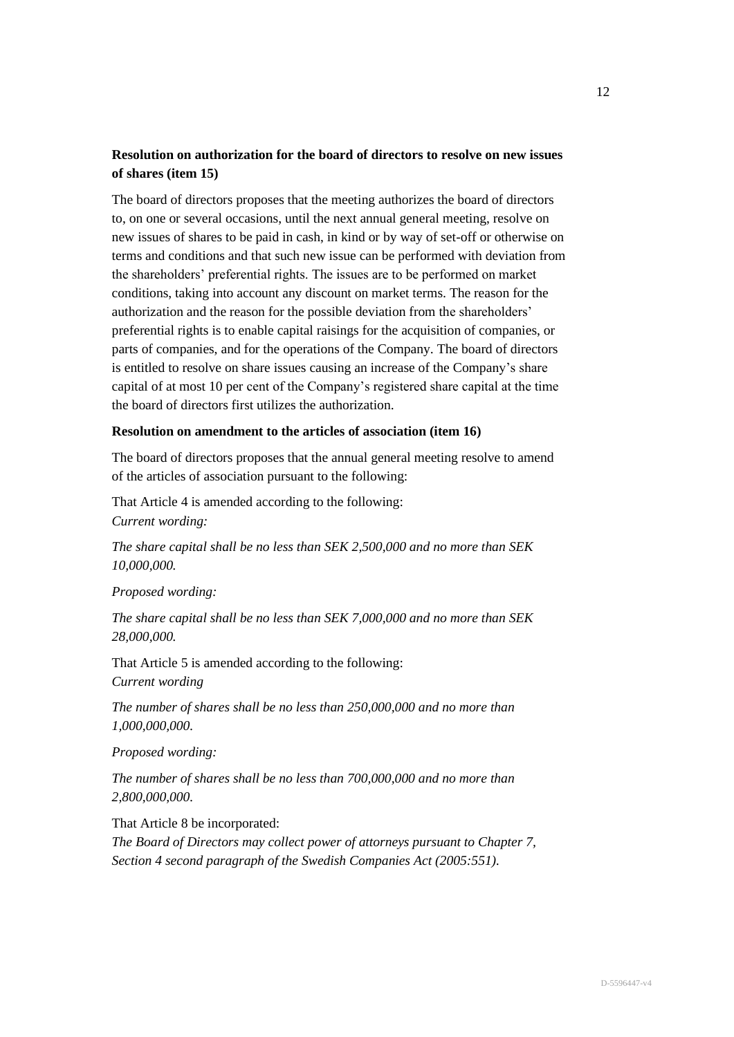# **Resolution on authorization for the board of directors to resolve on new issues of shares (item 15)**

The board of directors proposes that the meeting authorizes the board of directors to, on one or several occasions, until the next annual general meeting, resolve on new issues of shares to be paid in cash, in kind or by way of set-off or otherwise on terms and conditions and that such new issue can be performed with deviation from the shareholders' preferential rights. The issues are to be performed on market conditions, taking into account any discount on market terms. The reason for the authorization and the reason for the possible deviation from the shareholders' preferential rights is to enable capital raisings for the acquisition of companies, or parts of companies, and for the operations of the Company. The board of directors is entitled to resolve on share issues causing an increase of the Company's share capital of at most 10 per cent of the Company's registered share capital at the time the board of directors first utilizes the authorization.

### **Resolution on amendment to the articles of association (item 16)**

The board of directors proposes that the annual general meeting resolve to amend of the articles of association pursuant to the following:

That Article 4 is amended according to the following: *Current wording:*

*The share capital shall be no less than SEK 2,500,000 and no more than SEK 10,000,000.*

*Proposed wording:*

*The share capital shall be no less than SEK 7,000,000 and no more than SEK 28,000,000.*

That Article 5 is amended according to the following: *Current wording*

*The number of shares shall be no less than 250,000,000 and no more than 1,000,000,000.*

*Proposed wording:*

*The number of shares shall be no less than 700,000,000 and no more than 2,800,000,000.*

That Article 8 be incorporated:

*The Board of Directors may collect power of attorneys pursuant to Chapter 7, Section 4 second paragraph of the Swedish Companies Act (2005:551).*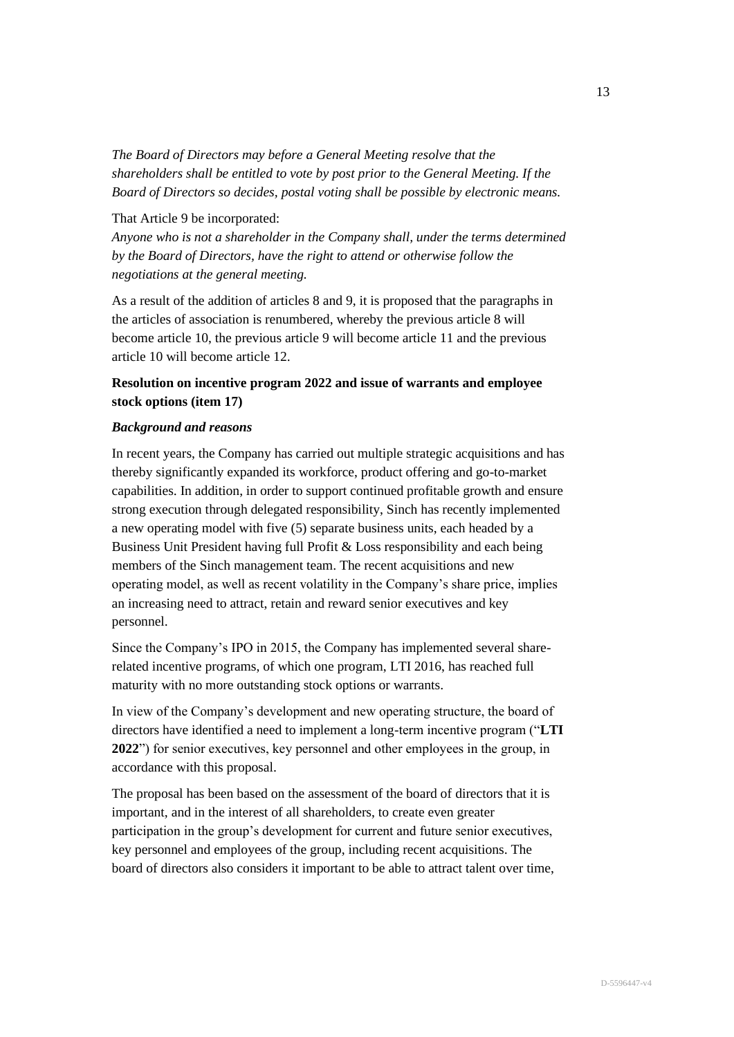*The Board of Directors may before a General Meeting resolve that the shareholders shall be entitled to vote by post prior to the General Meeting. If the Board of Directors so decides, postal voting shall be possible by electronic means.*

That Article 9 be incorporated:

*Anyone who is not a shareholder in the Company shall, under the terms determined by the Board of Directors, have the right to attend or otherwise follow the negotiations at the general meeting.*

As a result of the addition of articles 8 and 9, it is proposed that the paragraphs in the articles of association is renumbered, whereby the previous article 8 will become article 10, the previous article 9 will become article 11 and the previous article 10 will become article 12.

# **Resolution on incentive program 2022 and issue of warrants and employee stock options (item 17)**

# *Background and reasons*

In recent years, the Company has carried out multiple strategic acquisitions and has thereby significantly expanded its workforce, product offering and go-to-market capabilities. In addition, in order to support continued profitable growth and ensure strong execution through delegated responsibility, Sinch has recently implemented a new operating model with five (5) separate business units, each headed by a Business Unit President having full Profit & Loss responsibility and each being members of the Sinch management team. The recent acquisitions and new operating model, as well as recent volatility in the Company's share price, implies an increasing need to attract, retain and reward senior executives and key personnel.

Since the Company's IPO in 2015, the Company has implemented several sharerelated incentive programs, of which one program, LTI 2016, has reached full maturity with no more outstanding stock options or warrants.

In view of the Company's development and new operating structure, the board of directors have identified a need to implement a long-term incentive program ("**LTI 2022**") for senior executives, key personnel and other employees in the group, in accordance with this proposal.

The proposal has been based on the assessment of the board of directors that it is important, and in the interest of all shareholders, to create even greater participation in the group's development for current and future senior executives, key personnel and employees of the group, including recent acquisitions. The board of directors also considers it important to be able to attract talent over time,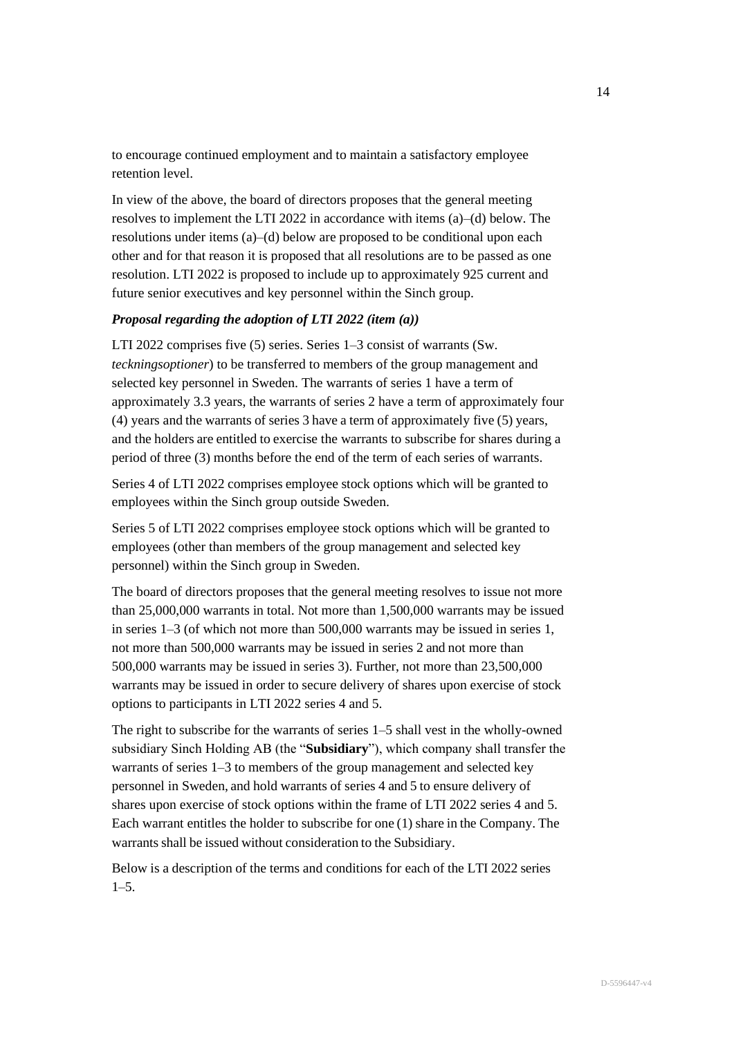to encourage continued employment and to maintain a satisfactory employee retention level.

In view of the above, the board of directors proposes that the general meeting resolves to implement the LTI 2022 in accordance with items (a)–(d) below. The resolutions under items (a)–(d) below are proposed to be conditional upon each other and for that reason it is proposed that all resolutions are to be passed as one resolution. LTI 2022 is proposed to include up to approximately 925 current and future senior executives and key personnel within the Sinch group.

# *Proposal regarding the adoption of LTI 2022 (item (a))*

LTI 2022 comprises five (5) series. Series 1–3 consist of warrants (Sw. *teckningsoptioner*) to be transferred to members of the group management and selected key personnel in Sweden. The warrants of series 1 have a term of approximately 3.3 years, the warrants of series 2 have a term of approximately four (4) years and the warrants of series 3 have a term of approximately five (5) years, and the holders are entitled to exercise the warrants to subscribe for shares during a period of three (3) months before the end of the term of each series of warrants.

Series 4 of LTI 2022 comprises employee stock options which will be granted to employees within the Sinch group outside Sweden.

Series 5 of LTI 2022 comprises employee stock options which will be granted to employees (other than members of the group management and selected key personnel) within the Sinch group in Sweden.

The board of directors proposes that the general meeting resolves to issue not more than 25,000,000 warrants in total. Not more than 1,500,000 warrants may be issued in series 1–3 (of which not more than 500,000 warrants may be issued in series 1, not more than 500,000 warrants may be issued in series 2 and not more than 500,000 warrants may be issued in series 3). Further, not more than 23,500,000 warrants may be issued in order to secure delivery of shares upon exercise of stock options to participants in LTI 2022 series 4 and 5.

The right to subscribe for the warrants of series 1–5 shall vest in the wholly-owned subsidiary Sinch Holding AB (the "**Subsidiary**"), which company shall transfer the warrants of series 1–3 to members of the group management and selected key personnel in Sweden, and hold warrants of series 4 and 5 to ensure delivery of shares upon exercise of stock options within the frame of LTI 2022 series 4 and 5. Each warrant entitles the holder to subscribe for one (1) share in the Company. The warrants shall be issued without consideration to the Subsidiary.

Below is a description of the terms and conditions for each of the LTI 2022 series  $1-5.$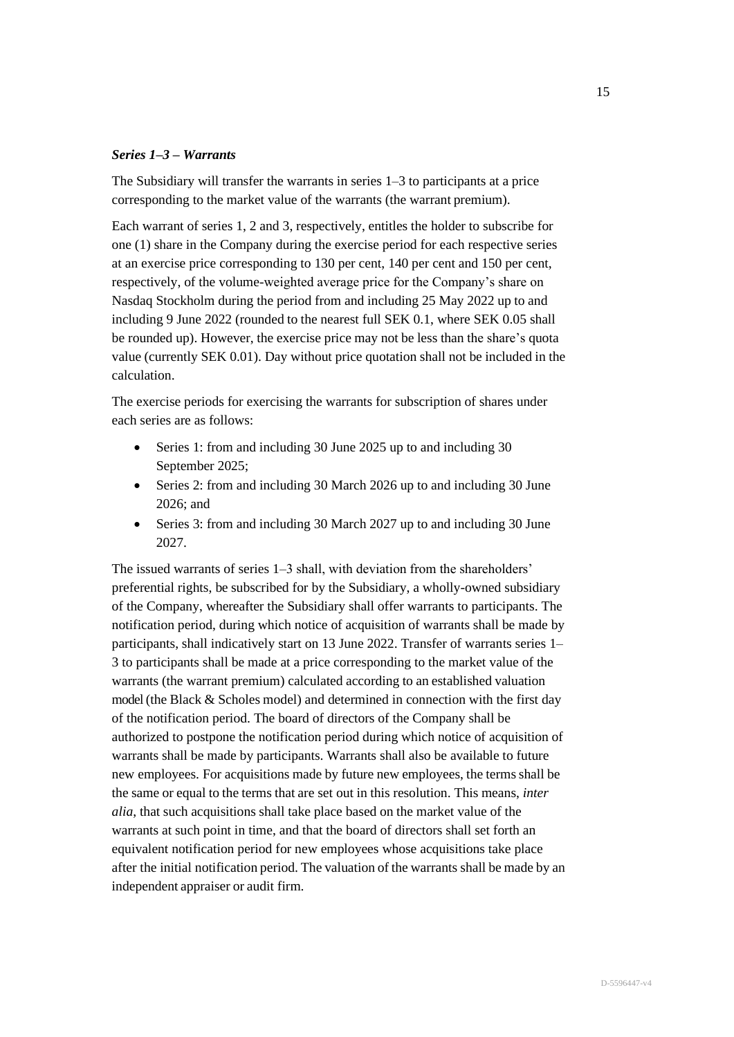# *Series 1–3 – Warrants*

The Subsidiary will transfer the warrants in series 1–3 to participants at a price corresponding to the market value of the warrants (the warrant premium).

Each warrant of series 1, 2 and 3, respectively, entitles the holder to subscribe for one (1) share in the Company during the exercise period for each respective series at an exercise price corresponding to 130 per cent, 140 per cent and 150 per cent, respectively, of the volume-weighted average price for the Company's share on Nasdaq Stockholm during the period from and including 25 May 2022 up to and including 9 June 2022 (rounded to the nearest full SEK 0.1, where SEK 0.05 shall be rounded up). However, the exercise price may not be less than the share's quota value (currently SEK 0.01). Day without price quotation shall not be included in the calculation.

The exercise periods for exercising the warrants for subscription of shares under each series are as follows:

- Series 1: from and including 30 June 2025 up to and including 30 September 2025;
- Series 2: from and including 30 March 2026 up to and including 30 June 2026; and
- Series 3: from and including 30 March 2027 up to and including 30 June 2027.

The issued warrants of series 1–3 shall, with deviation from the shareholders' preferential rights, be subscribed for by the Subsidiary, a wholly-owned subsidiary of the Company, whereafter the Subsidiary shall offer warrants to participants. The notification period, during which notice of acquisition of warrants shall be made by participants, shall indicatively start on 13 June 2022. Transfer of warrants series 1– 3 to participants shall be made at a price corresponding to the market value of the warrants (the warrant premium) calculated according to an established valuation model (the Black & Scholes model) and determined in connection with the first day of the notification period. The board of directors of the Company shall be authorized to postpone the notification period during which notice of acquisition of warrants shall be made by participants. Warrants shall also be available to future new employees. For acquisitions made by future new employees, the terms shall be the same or equal to the terms that are set out in this resolution. This means, *inter alia*, that such acquisitions shall take place based on the market value of the warrants at such point in time, and that the board of directors shall set forth an equivalent notification period for new employees whose acquisitions take place after the initial notification period. The valuation of the warrants shall be made by an independent appraiser or audit firm.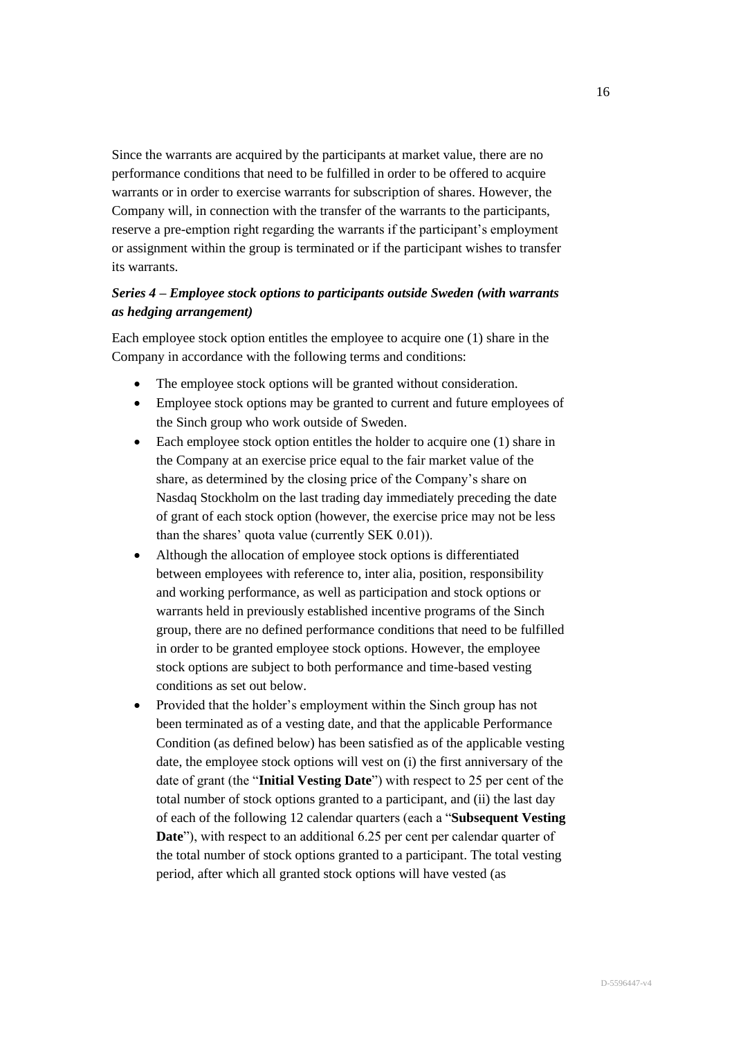Since the warrants are acquired by the participants at market value, there are no performance conditions that need to be fulfilled in order to be offered to acquire warrants or in order to exercise warrants for subscription of shares. However, the Company will, in connection with the transfer of the warrants to the participants, reserve a pre-emption right regarding the warrants if the participant's employment or assignment within the group is terminated or if the participant wishes to transfer its warrants.

# *Series 4 – Employee stock options to participants outside Sweden (with warrants as hedging arrangement)*

Each employee stock option entitles the employee to acquire one (1) share in the Company in accordance with the following terms and conditions:

- The employee stock options will be granted without consideration.
- Employee stock options may be granted to current and future employees of the Sinch group who work outside of Sweden.
- Each employee stock option entitles the holder to acquire one (1) share in the Company at an exercise price equal to the fair market value of the share, as determined by the closing price of the Company's share on Nasdaq Stockholm on the last trading day immediately preceding the date of grant of each stock option (however, the exercise price may not be less than the shares' quota value (currently SEK 0.01)).
- Although the allocation of employee stock options is differentiated between employees with reference to, inter alia, position, responsibility and working performance, as well as participation and stock options or warrants held in previously established incentive programs of the Sinch group, there are no defined performance conditions that need to be fulfilled in order to be granted employee stock options. However, the employee stock options are subject to both performance and time-based vesting conditions as set out below.
- Provided that the holder's employment within the Sinch group has not been terminated as of a vesting date, and that the applicable Performance Condition (as defined below) has been satisfied as of the applicable vesting date, the employee stock options will vest on (i) the first anniversary of the date of grant (the "**Initial Vesting Date**") with respect to 25 per cent of the total number of stock options granted to a participant, and (ii) the last day of each of the following 12 calendar quarters (each a "**Subsequent Vesting Date**"), with respect to an additional 6.25 per cent per calendar quarter of the total number of stock options granted to a participant. The total vesting period, after which all granted stock options will have vested (as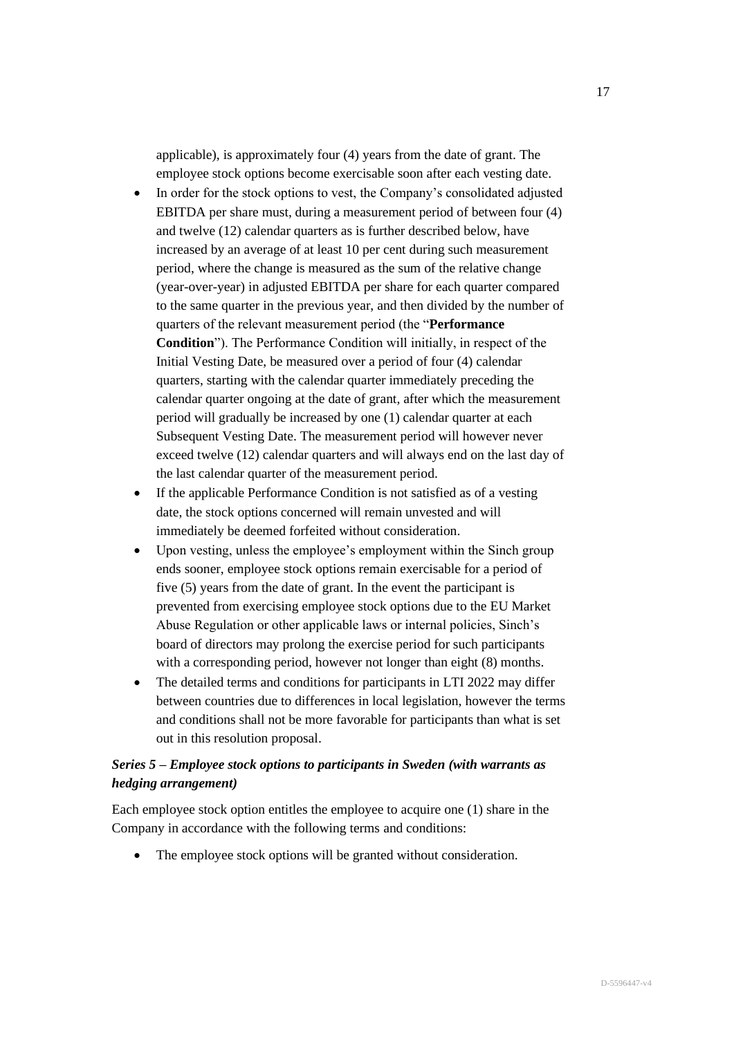applicable), is approximately four (4) years from the date of grant. The employee stock options become exercisable soon after each vesting date.

- In order for the stock options to vest, the Company's consolidated adjusted EBITDA per share must, during a measurement period of between four (4) and twelve (12) calendar quarters as is further described below, have increased by an average of at least 10 per cent during such measurement period, where the change is measured as the sum of the relative change (year-over-year) in adjusted EBITDA per share for each quarter compared to the same quarter in the previous year, and then divided by the number of quarters of the relevant measurement period (the "**Performance Condition**"). The Performance Condition will initially, in respect of the Initial Vesting Date, be measured over a period of four (4) calendar quarters, starting with the calendar quarter immediately preceding the calendar quarter ongoing at the date of grant, after which the measurement period will gradually be increased by one (1) calendar quarter at each Subsequent Vesting Date. The measurement period will however never exceed twelve (12) calendar quarters and will always end on the last day of the last calendar quarter of the measurement period.
- If the applicable Performance Condition is not satisfied as of a vesting date, the stock options concerned will remain unvested and will immediately be deemed forfeited without consideration.
- Upon vesting, unless the employee's employment within the Sinch group ends sooner, employee stock options remain exercisable for a period of five (5) years from the date of grant. In the event the participant is prevented from exercising employee stock options due to the EU Market Abuse Regulation or other applicable laws or internal policies, Sinch's board of directors may prolong the exercise period for such participants with a corresponding period, however not longer than eight  $(8)$  months.
- The detailed terms and conditions for participants in LTI 2022 may differ between countries due to differences in local legislation, however the terms and conditions shall not be more favorable for participants than what is set out in this resolution proposal.

# *Series 5 – Employee stock options to participants in Sweden (with warrants as hedging arrangement)*

Each employee stock option entitles the employee to acquire one (1) share in the Company in accordance with the following terms and conditions:

• The employee stock options will be granted without consideration.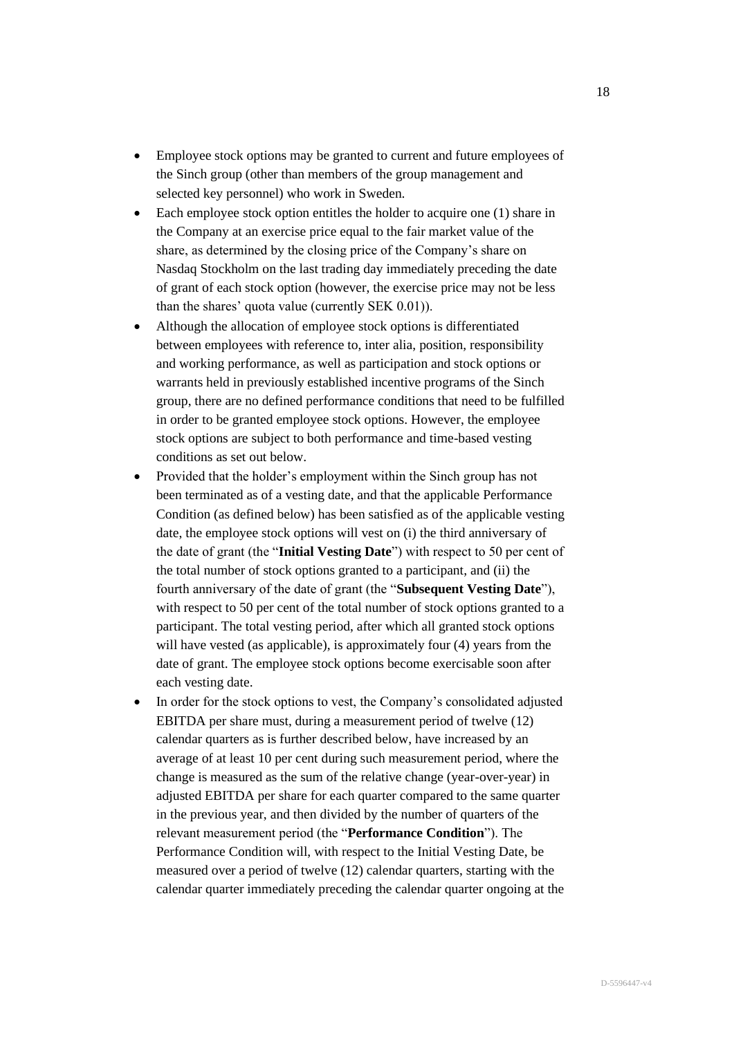- Employee stock options may be granted to current and future employees of the Sinch group (other than members of the group management and selected key personnel) who work in Sweden.
- Each employee stock option entitles the holder to acquire one (1) share in the Company at an exercise price equal to the fair market value of the share, as determined by the closing price of the Company's share on Nasdaq Stockholm on the last trading day immediately preceding the date of grant of each stock option (however, the exercise price may not be less than the shares' quota value (currently SEK 0.01)).
- Although the allocation of employee stock options is differentiated between employees with reference to, inter alia, position, responsibility and working performance, as well as participation and stock options or warrants held in previously established incentive programs of the Sinch group, there are no defined performance conditions that need to be fulfilled in order to be granted employee stock options. However, the employee stock options are subject to both performance and time-based vesting conditions as set out below.
- Provided that the holder's employment within the Sinch group has not been terminated as of a vesting date, and that the applicable Performance Condition (as defined below) has been satisfied as of the applicable vesting date, the employee stock options will vest on (i) the third anniversary of the date of grant (the "**Initial Vesting Date**") with respect to 50 per cent of the total number of stock options granted to a participant, and (ii) the fourth anniversary of the date of grant (the "**Subsequent Vesting Date**"), with respect to 50 per cent of the total number of stock options granted to a participant. The total vesting period, after which all granted stock options will have vested (as applicable), is approximately four (4) years from the date of grant. The employee stock options become exercisable soon after each vesting date.
- In order for the stock options to vest, the Company's consolidated adjusted EBITDA per share must, during a measurement period of twelve (12) calendar quarters as is further described below, have increased by an average of at least 10 per cent during such measurement period, where the change is measured as the sum of the relative change (year-over-year) in adjusted EBITDA per share for each quarter compared to the same quarter in the previous year, and then divided by the number of quarters of the relevant measurement period (the "**Performance Condition**"). The Performance Condition will, with respect to the Initial Vesting Date, be measured over a period of twelve (12) calendar quarters, starting with the calendar quarter immediately preceding the calendar quarter ongoing at the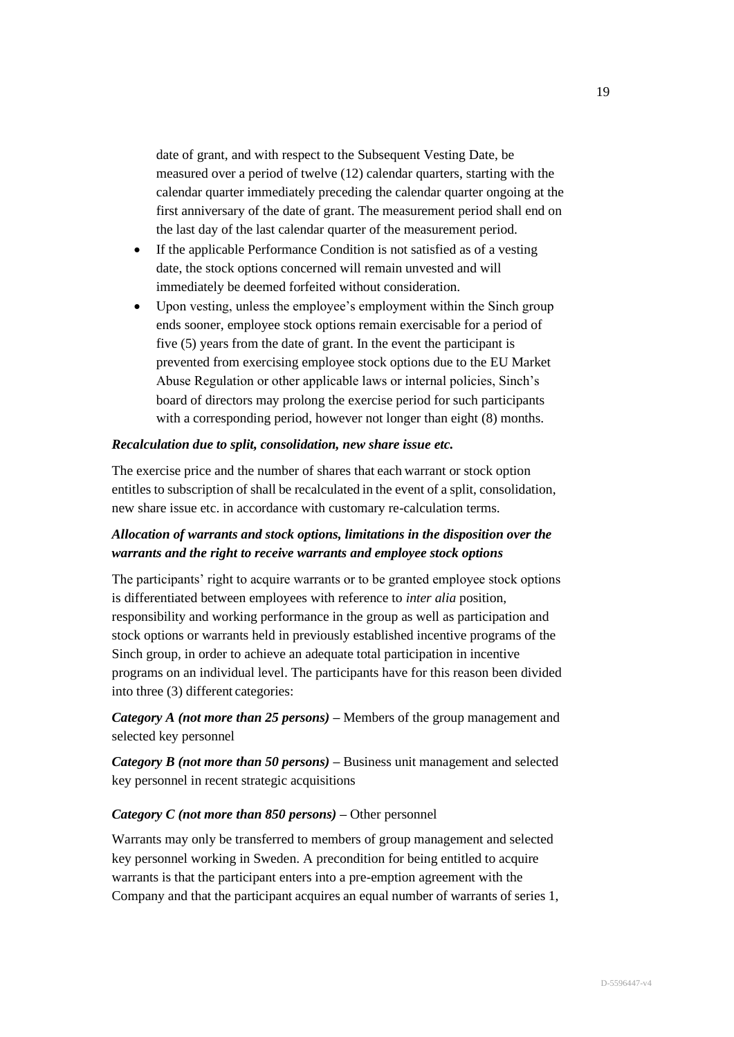date of grant, and with respect to the Subsequent Vesting Date, be measured over a period of twelve (12) calendar quarters, starting with the calendar quarter immediately preceding the calendar quarter ongoing at the first anniversary of the date of grant. The measurement period shall end on the last day of the last calendar quarter of the measurement period.

- If the applicable Performance Condition is not satisfied as of a vesting date, the stock options concerned will remain unvested and will immediately be deemed forfeited without consideration.
- Upon vesting, unless the employee's employment within the Sinch group ends sooner, employee stock options remain exercisable for a period of five (5) years from the date of grant. In the event the participant is prevented from exercising employee stock options due to the EU Market Abuse Regulation or other applicable laws or internal policies, Sinch's board of directors may prolong the exercise period for such participants with a corresponding period, however not longer than eight  $(8)$  months.

#### *Recalculation due to split, consolidation, new share issue etc.*

The exercise price and the number of shares that each warrant or stock option entitles to subscription of shall be recalculated in the event of a split, consolidation, new share issue etc. in accordance with customary re-calculation terms.

# *Allocation of warrants and stock options, limitations in the disposition over the warrants and the right to receive warrants and employee stock options*

The participants' right to acquire warrants or to be granted employee stock options is differentiated between employees with reference to *inter alia* position, responsibility and working performance in the group as well as participation and stock options or warrants held in previously established incentive programs of the Sinch group, in order to achieve an adequate total participation in incentive programs on an individual level. The participants have for this reason been divided into three (3) different categories:

*Category A (not more than 25 persons)* **–** Members of the group management and selected key personnel

*Category B (not more than 50 persons)* – Business unit management and selected key personnel in recent strategic acquisitions

# *Category C (not more than 850 persons)* **–** Other personnel

Warrants may only be transferred to members of group management and selected key personnel working in Sweden. A precondition for being entitled to acquire warrants is that the participant enters into a pre-emption agreement with the Company and that the participant acquires an equal number of warrants of series 1,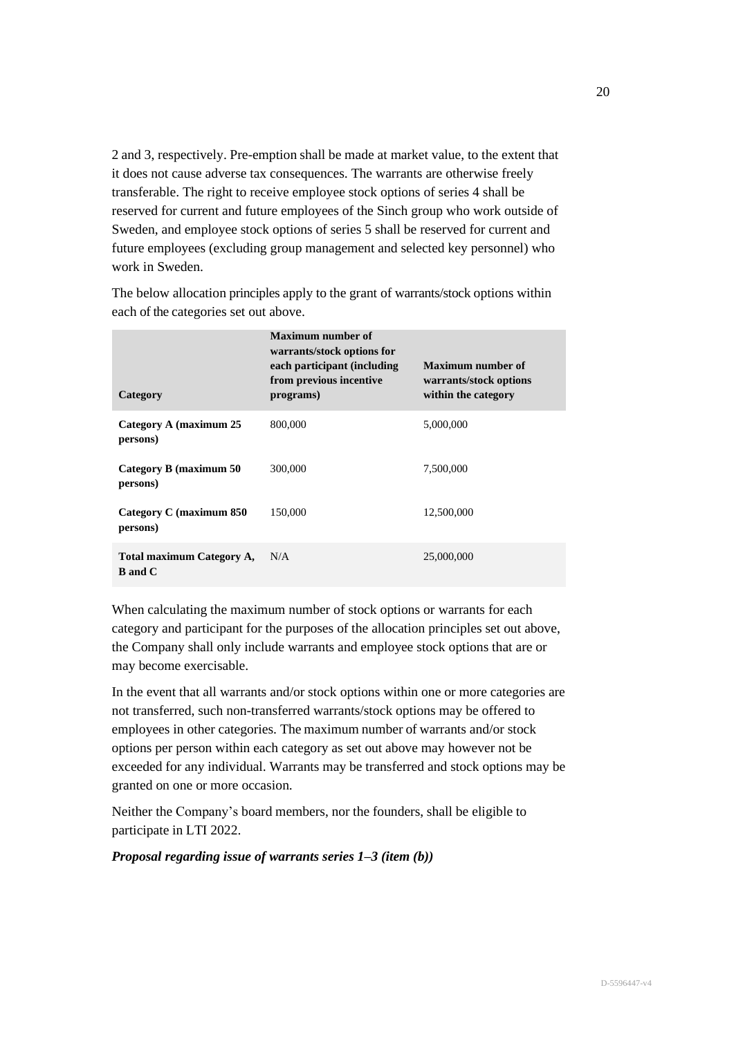2 and 3, respectively. Pre-emption shall be made at market value, to the extent that it does not cause adverse tax consequences. The warrants are otherwise freely transferable. The right to receive employee stock options of series 4 shall be reserved for current and future employees of the Sinch group who work outside of Sweden, and employee stock options of series 5 shall be reserved for current and future employees (excluding group management and selected key personnel) who work in Sweden.

**Category Maximum number of warrants/stock options for each participant (including from previous incentive programs) Maximum number of warrants/stock options within the category Category A (maximum 25 persons)** 800,000 5,000,000 **Category B (maximum 50 persons)** 300,000 7,500,000 **Category C (maximum 850 persons)** 150,000 12,500,000 **Total maximum Category A, B and C** N/A 25,000,000

The below allocation principles apply to the grant of warrants/stock options within each of the categories set out above.

When calculating the maximum number of stock options or warrants for each category and participant for the purposes of the allocation principles set out above, the Company shall only include warrants and employee stock options that are or may become exercisable.

In the event that all warrants and/or stock options within one or more categories are not transferred, such non-transferred warrants/stock options may be offered to employees in other categories. The maximum number of warrants and/or stock options per person within each category as set out above may however not be exceeded for any individual. Warrants may be transferred and stock options may be granted on one or more occasion.

Neither the Company's board members, nor the founders, shall be eligible to participate in LTI 2022.

*Proposal regarding issue of warrants series 1–3 (item (b))*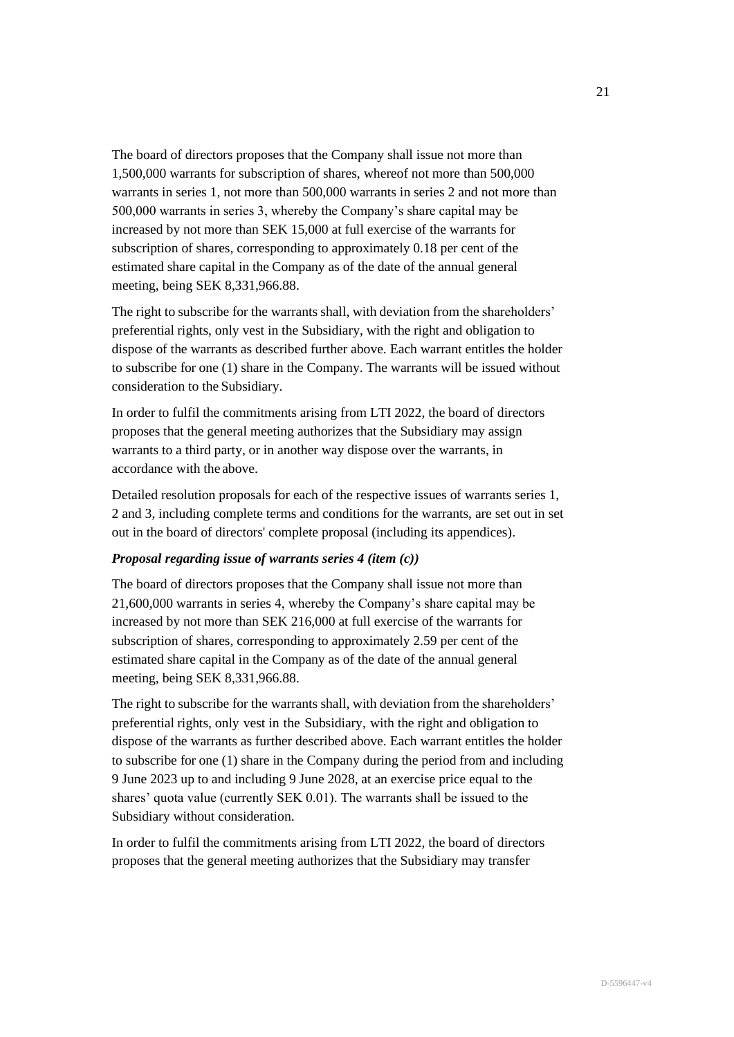The board of directors proposes that the Company shall issue not more than 1,500,000 warrants for subscription of shares, whereof not more than 500,000 warrants in series 1, not more than 500,000 warrants in series 2 and not more than 500,000 warrants in series 3, whereby the Company's share capital may be increased by not more than SEK 15,000 at full exercise of the warrants for subscription of shares, corresponding to approximately 0.18 per cent of the estimated share capital in the Company as of the date of the annual general meeting, being SEK 8,331,966.88.

The right to subscribe for the warrants shall, with deviation from the shareholders' preferential rights, only vest in the Subsidiary, with the right and obligation to dispose of the warrants as described further above. Each warrant entitles the holder to subscribe for one (1) share in the Company. The warrants will be issued without consideration to the Subsidiary.

In order to fulfil the commitments arising from LTI 2022, the board of directors proposes that the general meeting authorizes that the Subsidiary may assign warrants to a third party, or in another way dispose over the warrants, in accordance with the above.

Detailed resolution proposals for each of the respective issues of warrants series 1, 2 and 3, including complete terms and conditions for the warrants, are set out in set out in the board of directors' complete proposal (including its appendices).

# *Proposal regarding issue of warrants series 4 (item (c))*

The board of directors proposes that the Company shall issue not more than 21,600,000 warrants in series 4, whereby the Company's share capital may be increased by not more than SEK 216,000 at full exercise of the warrants for subscription of shares, corresponding to approximately 2.59 per cent of the estimated share capital in the Company as of the date of the annual general meeting, being SEK 8,331,966.88.

The right to subscribe for the warrants shall, with deviation from the shareholders' preferential rights, only vest in the Subsidiary, with the right and obligation to dispose of the warrants as further described above. Each warrant entitles the holder to subscribe for one (1) share in the Company during the period from and including 9 June 2023 up to and including 9 June 2028, at an exercise price equal to the shares' quota value (currently SEK 0.01). The warrants shall be issued to the Subsidiary without consideration.

In order to fulfil the commitments arising from LTI 2022, the board of directors proposes that the general meeting authorizes that the Subsidiary may transfer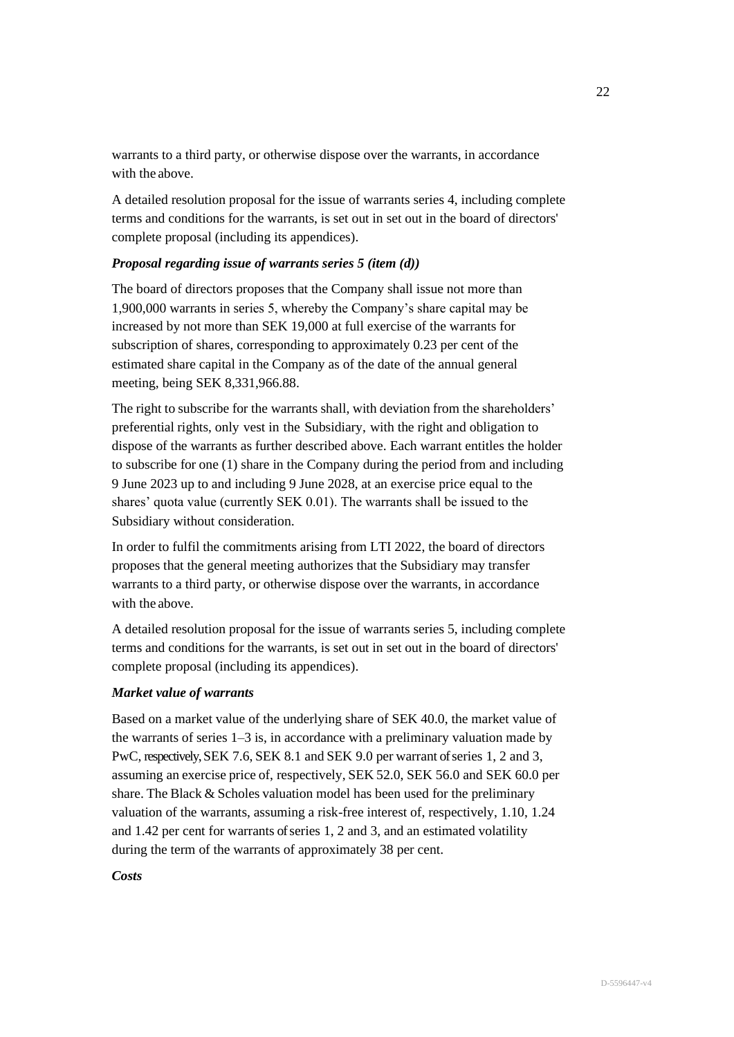warrants to a third party, or otherwise dispose over the warrants, in accordance with the above.

A detailed resolution proposal for the issue of warrants series 4, including complete terms and conditions for the warrants, is set out in set out in the board of directors' complete proposal (including its appendices).

# *Proposal regarding issue of warrants series 5 (item (d))*

The board of directors proposes that the Company shall issue not more than 1,900,000 warrants in series 5, whereby the Company's share capital may be increased by not more than SEK 19,000 at full exercise of the warrants for subscription of shares, corresponding to approximately 0.23 per cent of the estimated share capital in the Company as of the date of the annual general meeting, being SEK 8,331,966.88.

The right to subscribe for the warrants shall, with deviation from the shareholders' preferential rights, only vest in the Subsidiary, with the right and obligation to dispose of the warrants as further described above. Each warrant entitles the holder to subscribe for one (1) share in the Company during the period from and including 9 June 2023 up to and including 9 June 2028, at an exercise price equal to the shares' quota value (currently SEK 0.01). The warrants shall be issued to the Subsidiary without consideration.

In order to fulfil the commitments arising from LTI 2022, the board of directors proposes that the general meeting authorizes that the Subsidiary may transfer warrants to a third party, or otherwise dispose over the warrants, in accordance with the above.

A detailed resolution proposal for the issue of warrants series 5, including complete terms and conditions for the warrants, is set out in set out in the board of directors' complete proposal (including its appendices).

# *Market value of warrants*

Based on a market value of the underlying share of SEK 40.0, the market value of the warrants of series 1–3 is, in accordance with a preliminary valuation made by PwC, respectively, SEK 7.6, SEK 8.1 and SEK 9.0 per warrant of series 1, 2 and 3, assuming an exercise price of, respectively, SEK 52.0, SEK 56.0 and SEK 60.0 per share. The Black & Scholes valuation model has been used for the preliminary valuation of the warrants, assuming a risk-free interest of, respectively, 1.10, 1.24 and 1.42 per cent for warrants of series 1, 2 and 3, and an estimated volatility during the term of the warrants of approximately 38 per cent.

# *Costs*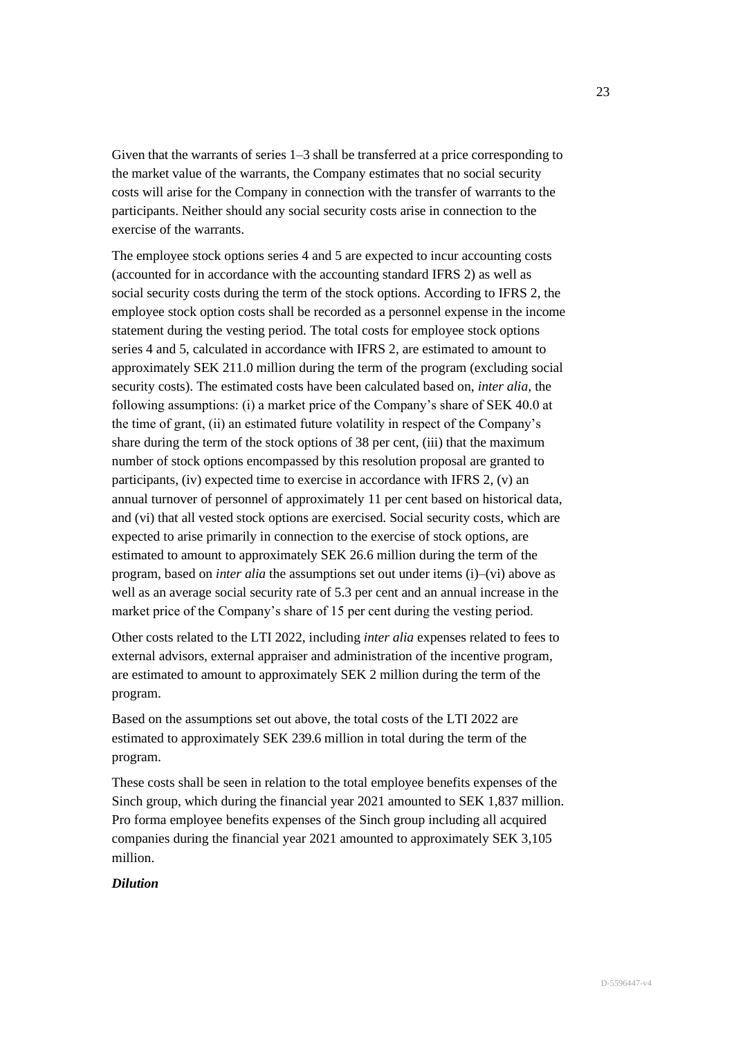Given that the warrants of series 1–3 shall be transferred at a price corresponding to the market value of the warrants, the Company estimates that no social security costs will arise for the Company in connection with the transfer of warrants to the participants. Neither should any social security costs arise in connection to the exercise of the warrants.

The employee stock options series 4 and 5 are expected to incur accounting costs (accounted for in accordance with the accounting standard IFRS 2) as well as social security costs during the term of the stock options. According to IFRS 2, the employee stock option costs shall be recorded as a personnel expense in the income statement during the vesting period. The total costs for employee stock options series 4 and 5, calculated in accordance with IFRS 2, are estimated to amount to approximately SEK 211.0 million during the term of the program (excluding social security costs). The estimated costs have been calculated based on, *inter alia*, the following assumptions: (i) a market price of the Company's share of SEK 40.0 at the time of grant, (ii) an estimated future volatility in respect of the Company's share during the term of the stock options of 38 per cent, (iii) that the maximum number of stock options encompassed by this resolution proposal are granted to participants, (iv) expected time to exercise in accordance with IFRS 2, (v) an annual turnover of personnel of approximately 11 per cent based on historical data, and (vi) that all vested stock options are exercised. Social security costs, which are expected to arise primarily in connection to the exercise of stock options, are estimated to amount to approximately SEK 26.6 million during the term of the program, based on *inter alia* the assumptions set out under items (i)–(vi) above as well as an average social security rate of 5.3 per cent and an annual increase in the market price of the Company's share of 15 per cent during the vesting period.

Other costs related to the LTI 2022, including *inter alia* expenses related to fees to external advisors, external appraiser and administration of the incentive program, are estimated to amount to approximately SEK 2 million during the term of the program.

Based on the assumptions set out above, the total costs of the LTI 2022 are estimated to approximately SEK 239.6 million in total during the term of the program.

These costs shall be seen in relation to the total employee benefits expenses of the Sinch group, which during the financial year 2021 amounted to SEK 1,837 million. Pro forma employee benefits expenses of the Sinch group including all acquired companies during the financial year 2021 amounted to approximately SEK 3,105 million.

# *Dilution*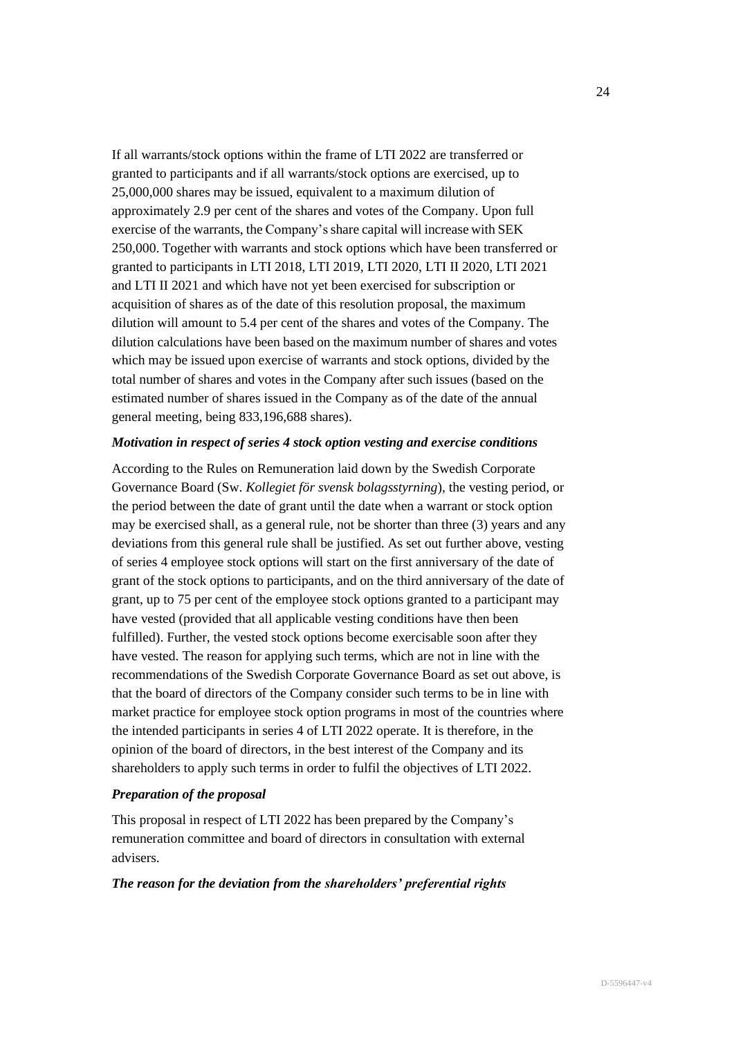If all warrants/stock options within the frame of LTI 2022 are transferred or granted to participants and if all warrants/stock options are exercised, up to 25,000,000 shares may be issued, equivalent to a maximum dilution of approximately 2.9 per cent of the shares and votes of the Company. Upon full exercise of the warrants, the Company's share capital will increase with SEK 250,000. Together with warrants and stock options which have been transferred or granted to participants in LTI 2018, LTI 2019, LTI 2020, LTI II 2020, LTI 2021 and LTI II 2021 and which have not yet been exercised for subscription or acquisition of shares as of the date of this resolution proposal, the maximum dilution will amount to 5.4 per cent of the shares and votes of the Company. The dilution calculations have been based on the maximum number of shares and votes which may be issued upon exercise of warrants and stock options, divided by the total number of shares and votes in the Company after such issues (based on the estimated number of shares issued in the Company as of the date of the annual general meeting, being 833,196,688 shares).

#### *Motivation in respect of series 4 stock option vesting and exercise conditions*

According to the Rules on Remuneration laid down by the Swedish Corporate Governance Board (Sw. *Kollegiet för svensk bolagsstyrning*), the vesting period, or the period between the date of grant until the date when a warrant or stock option may be exercised shall, as a general rule, not be shorter than three (3) years and any deviations from this general rule shall be justified. As set out further above, vesting of series 4 employee stock options will start on the first anniversary of the date of grant of the stock options to participants, and on the third anniversary of the date of grant, up to 75 per cent of the employee stock options granted to a participant may have vested (provided that all applicable vesting conditions have then been fulfilled). Further, the vested stock options become exercisable soon after they have vested. The reason for applying such terms, which are not in line with the recommendations of the Swedish Corporate Governance Board as set out above, is that the board of directors of the Company consider such terms to be in line with market practice for employee stock option programs in most of the countries where the intended participants in series 4 of LTI 2022 operate. It is therefore, in the opinion of the board of directors, in the best interest of the Company and its shareholders to apply such terms in order to fulfil the objectives of LTI 2022.

#### *Preparation of the proposal*

This proposal in respect of LTI 2022 has been prepared by the Company's remuneration committee and board of directors in consultation with external advisers.

#### *The reason for the deviation from the shareholders' preferential rights*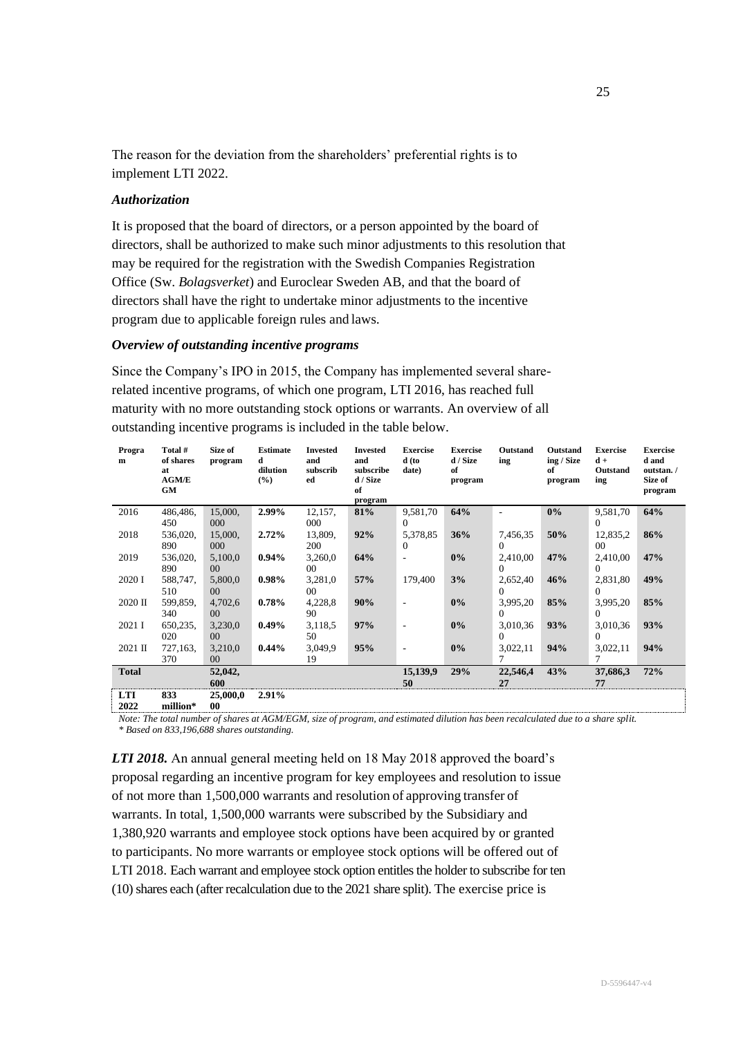The reason for the deviation from the shareholders' preferential rights is to implement LTI 2022.

## *Authorization*

It is proposed that the board of directors, or a person appointed by the board of directors, shall be authorized to make such minor adjustments to this resolution that may be required for the registration with the Swedish Companies Registration Office (Sw. *Bolagsverket*) and Euroclear Sweden AB, and that the board of directors shall have the right to undertake minor adjustments to the incentive program due to applicable foreign rules and laws.

### *Overview of outstanding incentive programs*

Since the Company's IPO in 2015, the Company has implemented several sharerelated incentive programs, of which one program, LTI 2016, has reached full maturity with no more outstanding stock options or warrants. An overview of all outstanding incentive programs is included in the table below.

| Progra<br>m        | Total #<br>of shares<br>at<br><b>AGM/E</b><br>GM | Size of<br>program       | <b>Estimate</b><br>d<br>dilution<br>(%) | <b>Invested</b><br>and<br>subscrib<br>ed | <b>Invested</b><br>and<br>subscribe<br>d / Size<br>of<br>program | <b>Exercise</b><br>d (to<br>date) | <b>Exercise</b><br>d / Size<br>of<br>program | Outstand<br>ing | Outstand<br>ing / Size<br>of<br>program | <b>Exercise</b><br>$d +$<br>Outstand<br>ing | <b>Exercise</b><br>d and<br>outstan./<br>Size of<br>program |
|--------------------|--------------------------------------------------|--------------------------|-----------------------------------------|------------------------------------------|------------------------------------------------------------------|-----------------------------------|----------------------------------------------|-----------------|-----------------------------------------|---------------------------------------------|-------------------------------------------------------------|
| 2016               | 486,486,                                         | 15,000,                  | 2.99%                                   | 12,157,                                  | 81%                                                              | 9,581,70                          | 64%                                          |                 | $0\%$                                   | 9,581,70                                    | 64%                                                         |
|                    | 450                                              | 000                      |                                         | 000                                      |                                                                  | 0                                 |                                              |                 |                                         | $\Omega$                                    |                                                             |
| 2018               | 536,020,                                         | 15,000,                  | $2.72\%$                                | 13,809,                                  | 92%                                                              | 5,378,85                          | 36%                                          | 7,456,35        | 50%                                     | 12,835,2                                    | 86%                                                         |
|                    | 890                                              | 000                      |                                         | 200                                      |                                                                  | 0                                 |                                              | $\Omega$        |                                         | 00 <sup>°</sup>                             |                                                             |
| 2019               | 536,020,                                         | 5,100,0                  | $0.94\%$                                | 3,260,0                                  | 64%                                                              | $\overline{a}$                    | $0\%$                                        | 2,410,00        | 47%                                     | 2,410,00                                    | 47%                                                         |
|                    | 890                                              | 00 <sup>°</sup>          |                                         | $00\,$                                   |                                                                  |                                   |                                              |                 |                                         | $\Omega$                                    |                                                             |
| 2020 I             | 588,747,                                         | 5,800,0                  | $0.98\%$                                | 3,281,0                                  | 57%                                                              | 179,400                           | 3%                                           | 2,652,40        | 46%                                     | 2,831,80                                    | 49%                                                         |
|                    | 510                                              | 00 <sup>°</sup>          |                                         | 00 <sup>1</sup>                          |                                                                  |                                   |                                              | 0               |                                         | 0                                           |                                                             |
| 2020 II            | 599,859,                                         | 4,702,6                  | 0.78%                                   | 4,228,8                                  | 90%                                                              |                                   | $0\%$                                        | 3,995,20        | 85%                                     | 3,995,20                                    | 85%                                                         |
|                    | 340                                              | 00 <sup>°</sup>          |                                         | 90                                       |                                                                  |                                   |                                              | 0               |                                         | 0                                           |                                                             |
| 2021 I             | 650,235,                                         | 3,230,0                  | $0.49\%$                                | 3,118,5                                  | 97%                                                              |                                   | $0\%$                                        | 3,010,36        | 93%                                     | 3,010,36                                    | 93%                                                         |
|                    | 020                                              | 00 <sup>°</sup>          |                                         | 50                                       |                                                                  |                                   |                                              | 0               |                                         | 0                                           |                                                             |
| 2021 II            | 727,163,                                         | 3,210,0                  | $0.44\%$                                | 3,049,9                                  | 95%                                                              |                                   | $0\%$                                        | 3,022,11        | 94%                                     | 3,022,11                                    | 94%                                                         |
|                    | 370                                              | 00 <sup>°</sup>          |                                         | 19                                       |                                                                  |                                   |                                              |                 |                                         |                                             |                                                             |
| <b>Total</b>       |                                                  | 52,042,<br>600           |                                         |                                          |                                                                  | 15,139,9<br>50                    | 29%                                          | 22,546,4<br>27  | 43%                                     | 37,686,3<br>77                              | 72%                                                         |
| <b>LTI</b><br>anaa | 833<br>$-1112 - 4$                               | 25,000,0<br>$\mathbf{a}$ | 2.91%                                   |                                          |                                                                  |                                   |                                              |                 |                                         |                                             |                                                             |

**2022 million\* 00**

*Note: The total number of shares at AGM/EGM, size of program, and estimated dilution has been recalculated due to a share split. \* Based on 833,196,688 shares outstanding.*

*LTI 2018.* An annual general meeting held on 18 May 2018 approved the board's proposal regarding an incentive program for key employees and resolution to issue of not more than 1,500,000 warrants and resolution of approving transfer of warrants. In total, 1,500,000 warrants were subscribed by the Subsidiary and 1,380,920 warrants and employee stock options have been acquired by or granted to participants. No more warrants or employee stock options will be offered out of LTI 2018. Each warrant and employee stock option entitles the holder to subscribe for ten (10) shares each (after recalculation due to the 2021 share split). The exercise price is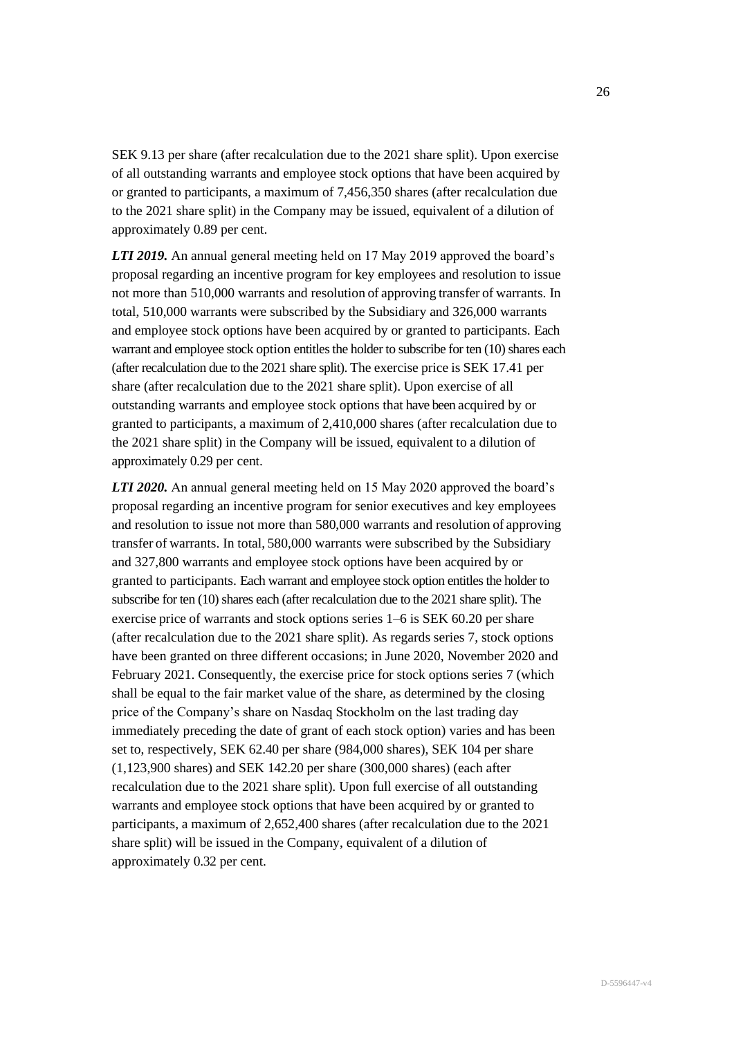SEK 9.13 per share (after recalculation due to the 2021 share split). Upon exercise of all outstanding warrants and employee stock options that have been acquired by or granted to participants, a maximum of 7,456,350 shares (after recalculation due to the 2021 share split) in the Company may be issued, equivalent of a dilution of approximately 0.89 per cent.

*LTI 2019.* An annual general meeting held on 17 May 2019 approved the board's proposal regarding an incentive program for key employees and resolution to issue not more than 510,000 warrants and resolution of approving transfer of warrants. In total, 510,000 warrants were subscribed by the Subsidiary and 326,000 warrants and employee stock options have been acquired by or granted to participants. Each warrant and employee stock option entitles the holder to subscribe for ten (10) shares each (after recalculation due to the 2021 share split). The exercise price is SEK 17.41 per share (after recalculation due to the 2021 share split). Upon exercise of all outstanding warrants and employee stock options that have been acquired by or granted to participants, a maximum of 2,410,000 shares (after recalculation due to the 2021 share split) in the Company will be issued, equivalent to a dilution of approximately 0.29 per cent.

*LTI 2020.* An annual general meeting held on 15 May 2020 approved the board's proposal regarding an incentive program for senior executives and key employees and resolution to issue not more than 580,000 warrants and resolution of approving transfer of warrants. In total, 580,000 warrants were subscribed by the Subsidiary and 327,800 warrants and employee stock options have been acquired by or granted to participants. Each warrant and employee stock option entitles the holder to subscribe for ten (10) shares each (after recalculation due to the 2021 share split). The exercise price of warrants and stock options series 1–6 is SEK 60.20 per share (after recalculation due to the 2021 share split). As regards series 7, stock options have been granted on three different occasions; in June 2020, November 2020 and February 2021. Consequently, the exercise price for stock options series 7 (which shall be equal to the fair market value of the share, as determined by the closing price of the Company's share on Nasdaq Stockholm on the last trading day immediately preceding the date of grant of each stock option) varies and has been set to, respectively, SEK 62.40 per share (984,000 shares), SEK 104 per share (1,123,900 shares) and SEK 142.20 per share (300,000 shares) (each after recalculation due to the 2021 share split). Upon full exercise of all outstanding warrants and employee stock options that have been acquired by or granted to participants, a maximum of 2,652,400 shares (after recalculation due to the 2021 share split) will be issued in the Company, equivalent of a dilution of approximately 0.32 per cent.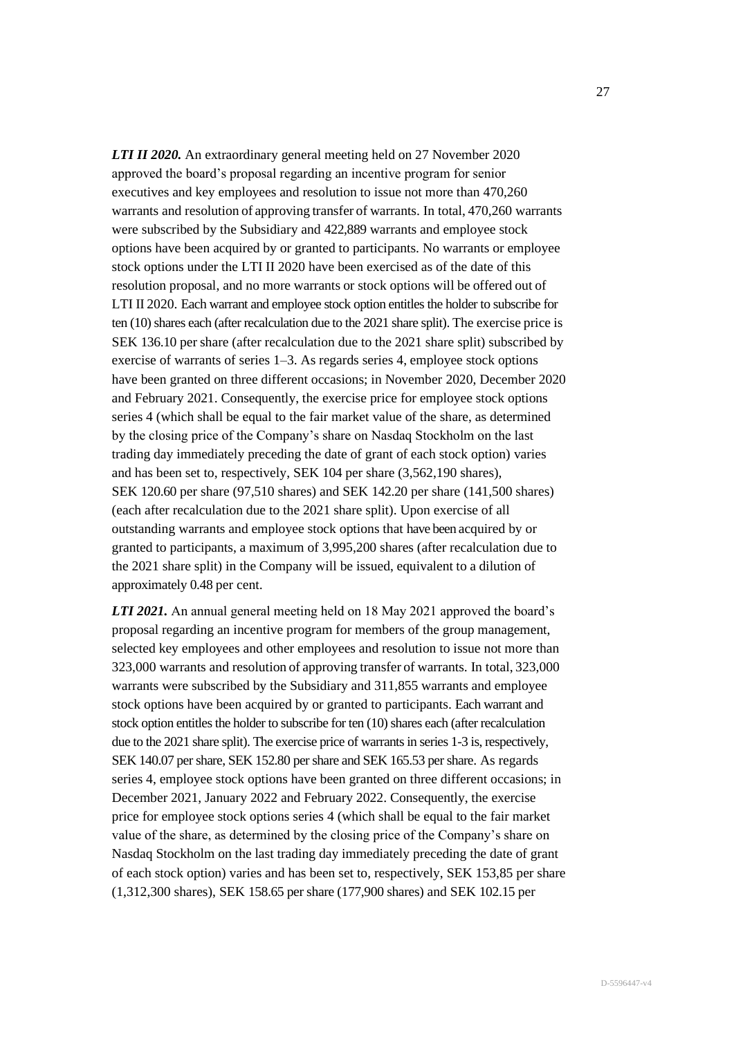*LTI II 2020.* An extraordinary general meeting held on 27 November 2020 approved the board's proposal regarding an incentive program for senior executives and key employees and resolution to issue not more than 470,260 warrants and resolution of approving transfer of warrants. In total, 470,260 warrants were subscribed by the Subsidiary and 422,889 warrants and employee stock options have been acquired by or granted to participants. No warrants or employee stock options under the LTI II 2020 have been exercised as of the date of this resolution proposal, and no more warrants or stock options will be offered out of LTI II 2020. Each warrant and employee stock option entitles the holder to subscribe for ten (10) shares each (after recalculation due to the 2021 share split). The exercise price is SEK 136.10 per share (after recalculation due to the 2021 share split) subscribed by exercise of warrants of series 1–3. As regards series 4, employee stock options have been granted on three different occasions; in November 2020, December 2020 and February 2021. Consequently, the exercise price for employee stock options series 4 (which shall be equal to the fair market value of the share, as determined by the closing price of the Company's share on Nasdaq Stockholm on the last trading day immediately preceding the date of grant of each stock option) varies and has been set to, respectively, SEK 104 per share (3,562,190 shares), SEK 120.60 per share (97,510 shares) and SEK 142.20 per share (141,500 shares) (each after recalculation due to the 2021 share split). Upon exercise of all outstanding warrants and employee stock options that have been acquired by or granted to participants, a maximum of 3,995,200 shares (after recalculation due to the 2021 share split) in the Company will be issued, equivalent to a dilution of approximately 0.48 per cent.

*LTI 2021.* An annual general meeting held on 18 May 2021 approved the board's proposal regarding an incentive program for members of the group management, selected key employees and other employees and resolution to issue not more than 323,000 warrants and resolution of approving transfer of warrants. In total, 323,000 warrants were subscribed by the Subsidiary and 311,855 warrants and employee stock options have been acquired by or granted to participants. Each warrant and stock option entitles the holder to subscribe for ten (10) shares each (after recalculation due to the 2021 share split). The exercise price of warrants in series 1-3 is, respectively, SEK 140.07 per share, SEK 152.80 per share and SEK 165.53 per share. As regards series 4, employee stock options have been granted on three different occasions; in December 2021, January 2022 and February 2022. Consequently, the exercise price for employee stock options series 4 (which shall be equal to the fair market value of the share, as determined by the closing price of the Company's share on Nasdaq Stockholm on the last trading day immediately preceding the date of grant of each stock option) varies and has been set to, respectively, SEK 153,85 per share (1,312,300 shares), SEK 158.65 per share (177,900 shares) and SEK 102.15 per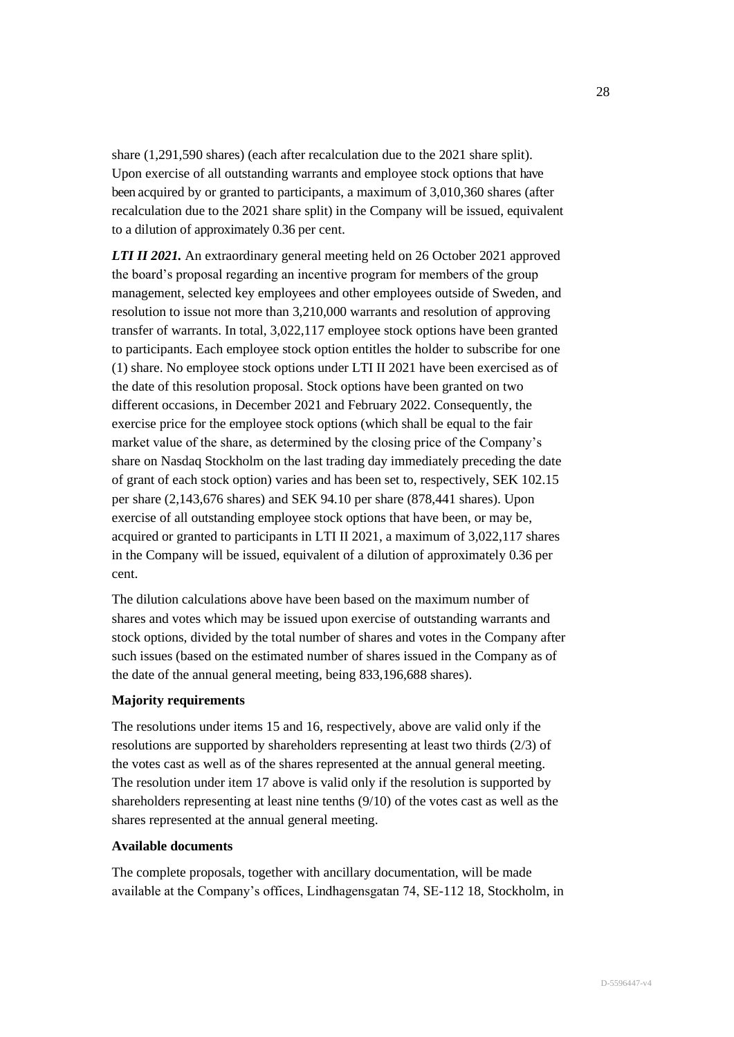share (1,291,590 shares) (each after recalculation due to the 2021 share split). Upon exercise of all outstanding warrants and employee stock options that have been acquired by or granted to participants, a maximum of 3,010,360 shares (after recalculation due to the 2021 share split) in the Company will be issued, equivalent to a dilution of approximately 0.36 per cent.

*LTI II 2021.* An extraordinary general meeting held on 26 October 2021 approved the board's proposal regarding an incentive program for members of the group management, selected key employees and other employees outside of Sweden, and resolution to issue not more than 3,210,000 warrants and resolution of approving transfer of warrants. In total, 3,022,117 employee stock options have been granted to participants. Each employee stock option entitles the holder to subscribe for one (1) share. No employee stock options under LTI II 2021 have been exercised as of the date of this resolution proposal. Stock options have been granted on two different occasions, in December 2021 and February 2022. Consequently, the exercise price for the employee stock options (which shall be equal to the fair market value of the share, as determined by the closing price of the Company's share on Nasdaq Stockholm on the last trading day immediately preceding the date of grant of each stock option) varies and has been set to, respectively, SEK 102.15 per share (2,143,676 shares) and SEK 94.10 per share (878,441 shares). Upon exercise of all outstanding employee stock options that have been, or may be, acquired or granted to participants in LTI II 2021, a maximum of 3,022,117 shares in the Company will be issued, equivalent of a dilution of approximately 0.36 per cent.

The dilution calculations above have been based on the maximum number of shares and votes which may be issued upon exercise of outstanding warrants and stock options, divided by the total number of shares and votes in the Company after such issues (based on the estimated number of shares issued in the Company as of the date of the annual general meeting, being 833,196,688 shares).

# **Majority requirements**

The resolutions under items 15 and 16, respectively, above are valid only if the resolutions are supported by shareholders representing at least two thirds (2/3) of the votes cast as well as of the shares represented at the annual general meeting. The resolution under item 17 above is valid only if the resolution is supported by shareholders representing at least nine tenths (9/10) of the votes cast as well as the shares represented at the annual general meeting.

### **Available documents**

The complete proposals, together with ancillary documentation, will be made available at the Company's offices, Lindhagensgatan 74, SE-112 18, Stockholm, in